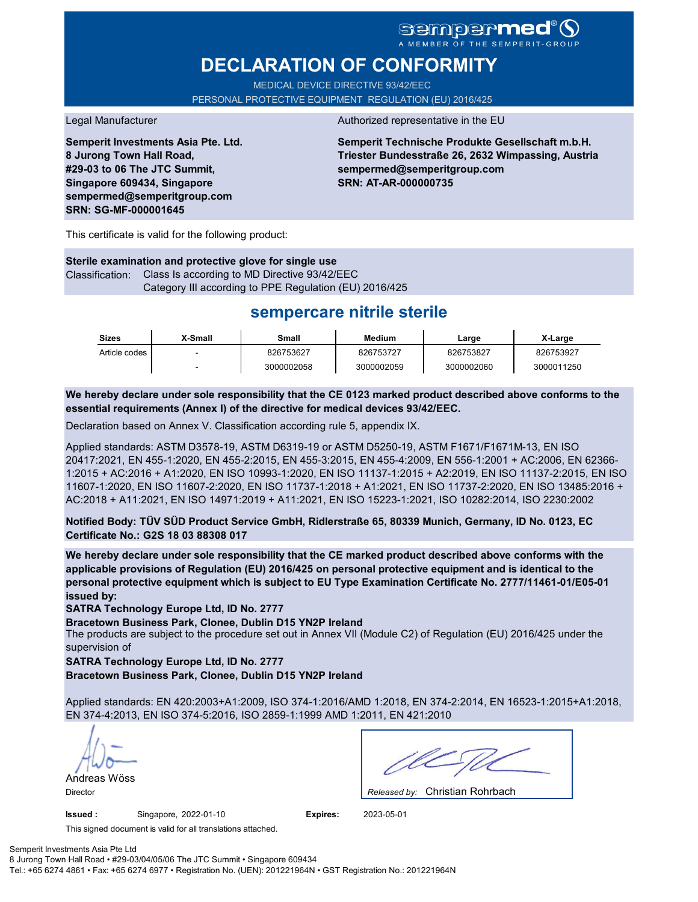### **Sempermed** MBER OF THE SEMPERIT-GR

# **DECLARATION OF CONFORMITY**

MEDICAL DEVICE DIRECTIVE 93/42/EEC PERSONAL PROTECTIVE EQUIPMENT REGULATION (EU) 2016/425

**Semperit Investments Asia Pte. Ltd. 8 Jurong Town Hall Road, #29-03 to 06 The JTC Summit, Singapore 609434, Singapore sempermed@semperitgroup.com SRN: SG-MF-000001645**

#### Legal Manufacturer **Authorized representative in the EU**

**Semperit Technische Produkte Gesellschaft m.b.H. Triester Bundesstraße 26, 2632 Wimpassing, Austria sempermed@semperitgroup.com SRN: AT-AR-000000735**

This certificate is valid for the following product:

**Sterile examination and protective glove for single use** Classification: Class Is according to MD Directive 93/42/EEC Category III according to PPE Regulation (EU) 2016/425

## **sempercare nitrile sterile**

| Sizes         | X-Small | Small      | Medium     | ∟arge      | X-Large    |
|---------------|---------|------------|------------|------------|------------|
| Article codes | -       | 826753627  | 826753727  | 826753827  | 826753927  |
|               |         | 3000002058 | 3000002059 | 3000002060 | 3000011250 |

**We hereby declare under sole responsibility that the CE 0123 marked product described above conforms to the essential requirements (Annex I) of the directive for medical devices 93/42/EEC.**

Declaration based on Annex V. Classification according rule 5, appendix IX.

Applied standards: ASTM D3578-19, ASTM D6319-19 or ASTM D5250-19, ASTM F1671/F1671M-13, EN ISO 20417:2021, EN 455-1:2020, EN 455-2:2015, EN 455-3:2015, EN 455-4:2009, EN 556-1:2001 + AC:2006, EN 62366- 1:2015 + AC:2016 + A1:2020, EN ISO 10993-1:2020, EN ISO 11137-1:2015 + A2:2019, EN ISO 11137-2:2015, EN ISO 11607-1:2020, EN ISO 11607-2:2020, EN ISO 11737-1:2018 + A1:2021, EN ISO 11737-2:2020, EN ISO 13485:2016 + AC:2018 + A11:2021, EN ISO 14971:2019 + A11:2021, EN ISO 15223-1:2021, ISO 10282:2014, ISO 2230:2002

**Notified Body: TÜV SÜD Product Service GmbH, Ridlerstraße 65, 80339 Munich, Germany, ID No. 0123, EC Certificate No.: G2S 18 03 88308 017**

**We hereby declare under sole responsibility that the CE marked product described above conforms with the applicable provisions of Regulation (EU) 2016/425 on personal protective equipment and is identical to the personal protective equipment which is subject to EU Type Examination Certificate No. 2777/11461-01/E05-01 issued by:**

**SATRA Technology Europe Ltd, ID No. 2777**

**Bracetown Business Park, Clonee, Dublin D15 YN2P Ireland**

The products are subject to the procedure set out in Annex VII (Module C2) of Regulation (EU) 2016/425 under the supervision of

**SATRA Technology Europe Ltd, ID No. 2777**

**Bracetown Business Park, Clonee, Dublin D15 YN2P Ireland**

Applied standards: EN 420:2003+A1:2009, ISO 374-1:2016/AMD 1:2018, EN 374-2:2014, EN 16523-1:2015+A1:2018, EN 374-4:2013, EN ISO 374-5:2016, ISO 2859-1:1999 AMD 1:2011, EN 421:2010

Andreas Wöss

**Issued :** Singapore, 2022-01-10 **Expires:** 2023-05-01

Christian Rohrbach Director *Released by:* 

This signed document is valid for all translations attached.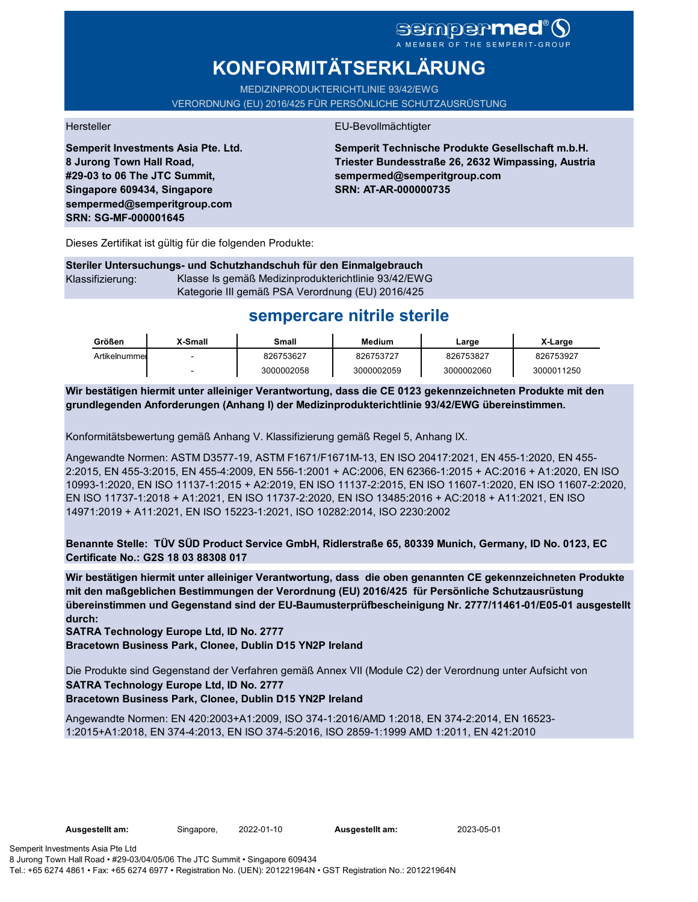# sempermed®9

# **KONFORMITÄTSERKLÄRUNG**

MEDIZINPRODUKTERICHTLINIE 93/42/EWG

VERORDNUNG (EU) 2016/425 FÜR PERSÖNLICHE SCHUTZAUSRÜSTUNG

**Semperit Investments Asia Pte. Ltd. 8 Jurong Town Hall Road, #29-03 to 06 The JTC Summit, Singapore 609434, Singapore sempermed@semperitgroup.com SRN: SG-MF-000001645**

#### Hersteller EU-Bevollmächtigter

**Semperit Technische Produkte Gesellschaft m.b.H. Triester Bundesstraße 26, 2632 Wimpassing, Austria sempermed@semperitgroup.com SRN: AT-AR-000000735**

Dieses Zertifikat ist gültig für die folgenden Produkte:

**Steriler Untersuchungs- und Schutzhandschuh für den Einmalgebrauch** Klassifizierung: Klasse Is gemäß Medizinprodukterichtlinie 93/42/EWG Kategorie III gemäß PSA Verordnung (EU) 2016/425

## **sempercare nitrile sterile**

| Größen        | X-Small | Small      | Medium     | Large      | X-Large    |
|---------------|---------|------------|------------|------------|------------|
| Artikelnummer |         | 826753627  | 826753727  | 826753827  | 826753927  |
|               |         | 3000002058 | 3000002059 | 3000002060 | 3000011250 |

**Wir bestätigen hiermit unter alleiniger Verantwortung, dass die CE 0123 gekennzeichneten Produkte mit den grundlegenden Anforderungen (Anhang I) der Medizinprodukterichtlinie 93/42/EWG übereinstimmen.**

Konformitätsbewertung gemäß Anhang V. Klassifizierung gemäß Regel 5, Anhang IX.

Angewandte Normen: ASTM D3577-19, ASTM F1671/F1671M-13, EN ISO 20417:2021, EN 455-1:2020, EN 455- 2:2015, EN 455-3:2015, EN 455-4:2009, EN 556-1:2001 + AC:2006, EN 62366-1:2015 + AC:2016 + A1:2020, EN ISO 10993-1:2020, EN ISO 11137-1:2015 + A2:2019, EN ISO 11137-2:2015, EN ISO 11607-1:2020, EN ISO 11607-2:2020, EN ISO 11737-1:2018 + A1:2021, EN ISO 11737-2:2020, EN ISO 13485:2016 + AC:2018 + A11:2021, EN ISO 14971:2019 + A11:2021, EN ISO 15223-1:2021, ISO 10282:2014, ISO 2230:2002

**Benannte Stelle: TÜV SÜD Product Service GmbH, Ridlerstraße 65, 80339 Munich, Germany, ID No. 0123, EC Certificate No.: G2S 18 03 88308 017**

**Wir bestätigen hiermit unter alleiniger Verantwortung, dass die oben genannten CE gekennzeichneten Produkte mit den maßgeblichen Bestimmungen der Verordnung (EU) 2016/425 für Persönliche Schutzausrüstung übereinstimmen und Gegenstand sind der EU-Baumusterprüfbescheinigung Nr. 2777/11461-01/E05-01 ausgestellt durch:**

**SATRA Technology Europe Ltd, ID No. 2777**

**Bracetown Business Park, Clonee, Dublin D15 YN2P Ireland**

Die Produkte sind Gegenstand der Verfahren gemäß Annex VII (Module C2) der Verordnung unter Aufsicht von **SATRA Technology Europe Ltd, ID No. 2777 Bracetown Business Park, Clonee, Dublin D15 YN2P Ireland**

Angewandte Normen: EN 420:2003+A1:2009, ISO 374-1:2016/AMD 1:2018, EN 374-2:2014, EN 16523- 1:2015+A1:2018, EN 374-4:2013, EN ISO 374-5:2016, ISO 2859-1:1999 AMD 1:2011, EN 421:2010

**Ausgestellt am:** 2023-05-01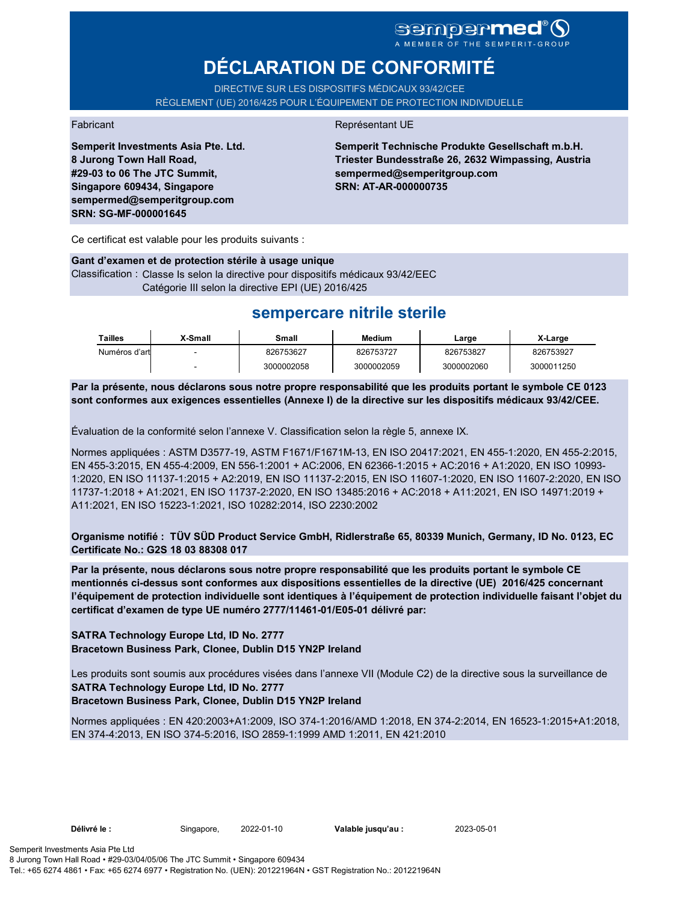## sempermed<sup>®</sup> Q A MEMBER OF THE SEMPERIT-GROUP

**DÉCLARATION DE CONFORMITÉ**

DIRECTIVE SUR LES DISPOSITIFS MÉDICAUX 93/42/CEE RÈGLEMENT (UE) 2016/425 POUR L'ÉQUIPEMENT DE PROTECTION INDIVIDUELLE

### Fabricant **Représentant UE**

**Semperit Technische Produkte Gesellschaft m.b.H. Triester Bundesstraße 26, 2632 Wimpassing, Austria sempermed@semperitgroup.com SRN: AT-AR-000000735**

**#29-03 to 06 The JTC Summit, Singapore 609434, Singapore sempermed@semperitgroup.com SRN: SG-MF-000001645**

**Semperit Investments Asia Pte. Ltd.**

**8 Jurong Town Hall Road,** 

Ce certificat est valable pour les produits suivants :

#### **Gant d'examen et de protection stérile à usage unique** Classification : Classe Is selon la directive pour dispositifs médicaux 93/42/EEC Catégorie III selon la directive EPI (UE) 2016/425

## **sempercare nitrile sterile**

| Tailles       | X-Small | Small      | Medium     | Large      | X-Large    |
|---------------|---------|------------|------------|------------|------------|
| Numéros d'art |         | 826753627  | 826753727  | 826753827  | 826753927  |
|               | -       | 3000002058 | 3000002059 | 3000002060 | 3000011250 |

**Par la présente, nous déclarons sous notre propre responsabilité que les produits portant le symbole CE 0123 sont conformes aux exigences essentielles (Annexe I) de la directive sur les dispositifs médicaux 93/42/CEE.**

Évaluation de la conformité selon l'annexe V. Classification selon la règle 5, annexe IX.

Normes appliquées : ASTM D3577-19, ASTM F1671/F1671M-13, EN ISO 20417:2021, EN 455-1:2020, EN 455-2:2015, EN 455-3:2015, EN 455-4:2009, EN 556-1:2001 + AC:2006, EN 62366-1:2015 + AC:2016 + A1:2020, EN ISO 10993- 1:2020, EN ISO 11137-1:2015 + A2:2019, EN ISO 11137-2:2015, EN ISO 11607-1:2020, EN ISO 11607-2:2020, EN ISO 11737-1:2018 + A1:2021, EN ISO 11737-2:2020, EN ISO 13485:2016 + AC:2018 + A11:2021, EN ISO 14971:2019 + A11:2021, EN ISO 15223-1:2021, ISO 10282:2014, ISO 2230:2002

**Organisme notifié : TÜV SÜD Product Service GmbH, Ridlerstraße 65, 80339 Munich, Germany, ID No. 0123, EC Certificate No.: G2S 18 03 88308 017**

**Par la présente, nous déclarons sous notre propre responsabilité que les produits portant le symbole CE mentionnés ci-dessus sont conformes aux dispositions essentielles de la directive (UE) 2016/425 concernant l'équipement de protection individuelle sont identiques à l'équipement de protection individuelle faisant l'objet du certificat d'examen de type UE numéro 2777/11461-01/E05-01 délivré par:**

**SATRA Technology Europe Ltd, ID No. 2777 Bracetown Business Park, Clonee, Dublin D15 YN2P Ireland**

Les produits sont soumis aux procédures visées dans l'annexe VII (Module C2) de la directive sous la surveillance de **SATRA Technology Europe Ltd, ID No. 2777**

**Bracetown Business Park, Clonee, Dublin D15 YN2P Ireland**

Normes appliquées : EN 420:2003+A1:2009, ISO 374-1:2016/AMD 1:2018, EN 374-2:2014, EN 16523-1:2015+A1:2018, EN 374-4:2013, EN ISO 374-5:2016, ISO 2859-1:1999 AMD 1:2011, EN 421:2010

**Délivré le :** Singapore, **Valable jusqu'au :** 2022-01-10 2023-05-01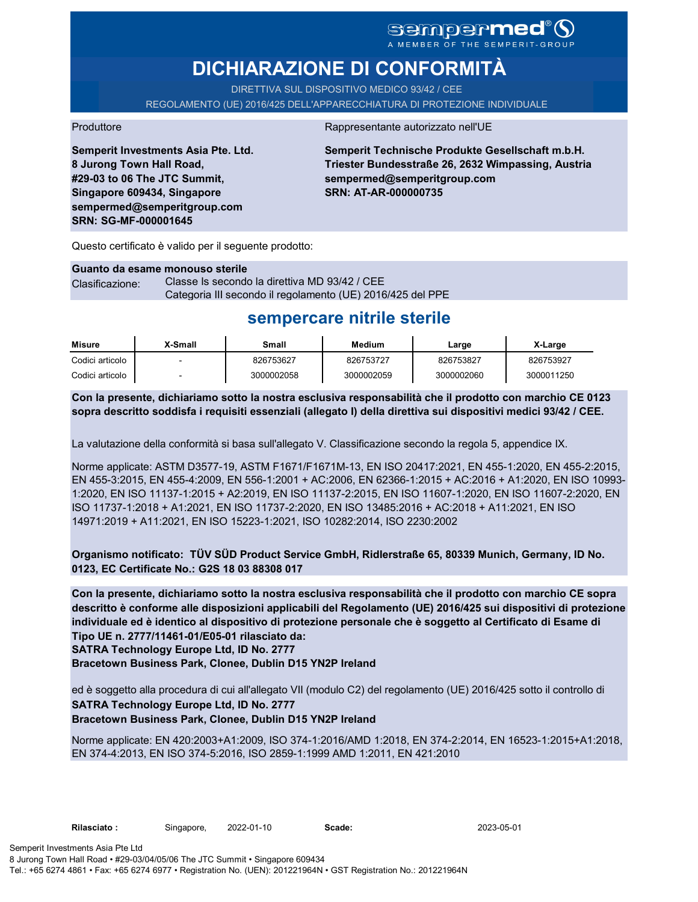# SOMPOPMED<sup>®</sup>O

# **DICHIARAZIONE DI CONFORMITÀ**

DIRETTIVA SUL DISPOSITIVO MEDICO 93/42 / CEE

REGOLAMENTO (UE) 2016/425 DELL'APPARECCHIATURA DI PROTEZIONE INDIVIDUALE

#### Produttore **Rappresentante autorizzato nell'UE**

**Semperit Investments Asia Pte. Ltd. 8 Jurong Town Hall Road, #29-03 to 06 The JTC Summit, Singapore 609434, Singapore sempermed@semperitgroup.com SRN: SG-MF-000001645**

**Semperit Technische Produkte Gesellschaft m.b.H. Triester Bundesstraße 26, 2632 Wimpassing, Austria sempermed@semperitgroup.com SRN: AT-AR-000000735**

Questo certificato è valido per il seguente prodotto:

#### **Guanto da esame monouso sterile**

Clasificazione: Classe Is secondo la direttiva MD 93/42 / CEE Categoria III secondo il regolamento (UE) 2016/425 del PPE

## **sempercare nitrile sterile**

| Misure          | X-Small | Small      | Medium     | Large      | X-Large    |
|-----------------|---------|------------|------------|------------|------------|
| Codici articolo |         | 826753627  | 826753727  | 826753827  | 826753927  |
| Codici articolo |         | 3000002058 | 3000002059 | 3000002060 | 3000011250 |

**Con la presente, dichiariamo sotto la nostra esclusiva responsabilità che il prodotto con marchio CE 0123 sopra descritto soddisfa i requisiti essenziali (allegato I) della direttiva sui dispositivi medici 93/42 / CEE.**

La valutazione della conformità si basa sull'allegato V. Classificazione secondo la regola 5, appendice IX.

Norme applicate: ASTM D3577-19, ASTM F1671/F1671M-13, EN ISO 20417:2021, EN 455-1:2020, EN 455-2:2015, EN 455-3:2015, EN 455-4:2009, EN 556-1:2001 + AC:2006, EN 62366-1:2015 + AC:2016 + A1:2020, EN ISO 10993- 1:2020, EN ISO 11137-1:2015 + A2:2019, EN ISO 11137-2:2015, EN ISO 11607-1:2020, EN ISO 11607-2:2020, EN ISO 11737-1:2018 + A1:2021, EN ISO 11737-2:2020, EN ISO 13485:2016 + AC:2018 + A11:2021, EN ISO 14971:2019 + A11:2021, EN ISO 15223-1:2021, ISO 10282:2014, ISO 2230:2002

**Organismo notificato: TÜV SÜD Product Service GmbH, Ridlerstraße 65, 80339 Munich, Germany, ID No. 0123, EC Certificate No.: G2S 18 03 88308 017**

**Con la presente, dichiariamo sotto la nostra esclusiva responsabilità che il prodotto con marchio CE sopra descritto è conforme alle disposizioni applicabili del Regolamento (UE) 2016/425 sui dispositivi di protezione individuale ed è identico al dispositivo di protezione personale che è soggetto al Certificato di Esame di Tipo UE n. 2777/11461-01/E05-01 rilasciato da:**

**SATRA Technology Europe Ltd, ID No. 2777**

**Bracetown Business Park, Clonee, Dublin D15 YN2P Ireland**

ed è soggetto alla procedura di cui all'allegato VII (modulo C2) del regolamento (UE) 2016/425 sotto il controllo di

### **SATRA Technology Europe Ltd, ID No. 2777**

### **Bracetown Business Park, Clonee, Dublin D15 YN2P Ireland**

Norme applicate: EN 420:2003+A1:2009, ISO 374-1:2016/AMD 1:2018, EN 374-2:2014, EN 16523-1:2015+A1:2018, EN 374-4:2013, EN ISO 374-5:2016, ISO 2859-1:1999 AMD 1:2011, EN 421:2010

2023-05-01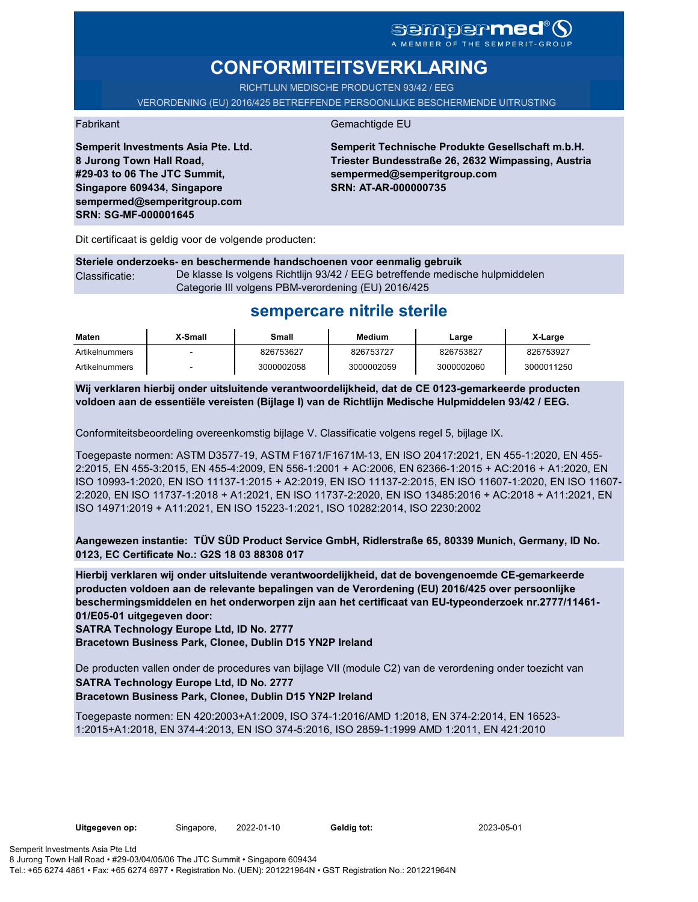### sempermed®§ A MEMBER OF THE SEMPERIT-GROUP

# **CONFORMITEITSVERKLARING**

RICHTLIJN MEDISCHE PRODUCTEN 93/42 / FEG

VERORDENING (EU) 2016/425 BETREFFENDE PERSOONLIJKE BESCHERMENDE UITRUSTING

#### Fabrikant Gemachtigde EU

**Semperit Investments Asia Pte. Ltd. 8 Jurong Town Hall Road, #29-03 to 06 The JTC Summit, Singapore 609434, Singapore sempermed@semperitgroup.com SRN: SG-MF-000001645**

**Semperit Technische Produkte Gesellschaft m.b.H. Triester Bundesstraße 26, 2632 Wimpassing, Austria sempermed@semperitgroup.com SRN: AT-AR-000000735**

Dit certificaat is geldig voor de volgende producten:

**Steriele onderzoeks- en beschermende handschoenen voor eenmalig gebruik** Classificatie: De klasse Is volgens Richtlijn 93/42 / EEG betreffende medische hulpmiddelen Categorie III volgens PBM-verordening (EU) 2016/425

## **sempercare nitrile sterile**

| Maten          | X-Small | Small      | Medium     | Large      | X-Large    |
|----------------|---------|------------|------------|------------|------------|
| Artikelnummers |         | 826753627  | 826753727  | 826753827  | 826753927  |
| Artikelnummers |         | 3000002058 | 3000002059 | 3000002060 | 3000011250 |

**Wij verklaren hierbij onder uitsluitende verantwoordelijkheid, dat de CE 0123-gemarkeerde producten voldoen aan de essentiële vereisten (Bijlage I) van de Richtlijn Medische Hulpmiddelen 93/42 / EEG.**

Conformiteitsbeoordeling overeenkomstig bijlage V. Classificatie volgens regel 5, bijlage IX.

Toegepaste normen: ASTM D3577-19, ASTM F1671/F1671M-13, EN ISO 20417:2021, EN 455-1:2020, EN 455- 2:2015, EN 455-3:2015, EN 455-4:2009, EN 556-1:2001 + AC:2006, EN 62366-1:2015 + AC:2016 + A1:2020, EN ISO 10993-1:2020, EN ISO 11137-1:2015 + A2:2019, EN ISO 11137-2:2015, EN ISO 11607-1:2020, EN ISO 11607- 2:2020, EN ISO 11737-1:2018 + A1:2021, EN ISO 11737-2:2020, EN ISO 13485:2016 + AC:2018 + A11:2021, EN ISO 14971:2019 + A11:2021, EN ISO 15223-1:2021, ISO 10282:2014, ISO 2230:2002

**Aangewezen instantie: TÜV SÜD Product Service GmbH, Ridlerstraße 65, 80339 Munich, Germany, ID No. 0123, EC Certificate No.: G2S 18 03 88308 017**

**Hierbij verklaren wij onder uitsluitende verantwoordelijkheid, dat de bovengenoemde CE-gemarkeerde producten voldoen aan de relevante bepalingen van de Verordening (EU) 2016/425 over persoonlijke beschermingsmiddelen en het onderworpen zijn aan het certificaat van EU-typeonderzoek nr.2777/11461- 01/E05-01 uitgegeven door:**

**SATRA Technology Europe Ltd, ID No. 2777**

**Bracetown Business Park, Clonee, Dublin D15 YN2P Ireland**

De producten vallen onder de procedures van bijlage VII (module C2) van de verordening onder toezicht van **SATRA Technology Europe Ltd, ID No. 2777 Bracetown Business Park, Clonee, Dublin D15 YN2P Ireland**

Toegepaste normen: EN 420:2003+A1:2009, ISO 374-1:2016/AMD 1:2018, EN 374-2:2014, EN 16523- 1:2015+A1:2018, EN 374-4:2013, EN ISO 374-5:2016, ISO 2859-1:1999 AMD 1:2011, EN 421:2010

Geldig tot: 2023-05-01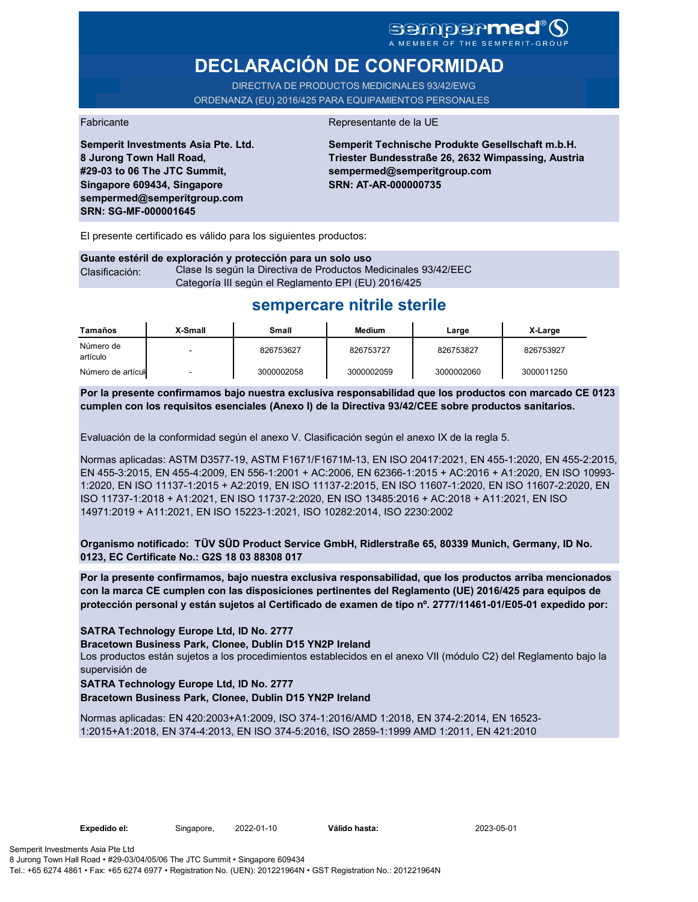# sempermed®9

# **DECLARACIÓN DE CONFORMIDAD**

DIRECTIVA DE PRODUCTOS MEDICINALES 93/42/EWG ORDENANZA (EU) 2016/425 PARA EQUIPAMIENTOS PERSONALES

**Semperit Investments Asia Pte. Ltd. 8 Jurong Town Hall Road, #29-03 to 06 The JTC Summit, Singapore 609434, Singapore sempermed@semperitgroup.com SRN: SG-MF-000001645**

#### Fabricante Representante de la UE

**Semperit Technische Produkte Gesellschaft m.b.H. Triester Bundesstraße 26, 2632 Wimpassing, Austria sempermed@semperitgroup.com SRN: AT-AR-000000735**

El presente certificado es válido para los siguientes productos:

|                | Guante estéril de exploración y protección para un solo uso    |
|----------------|----------------------------------------------------------------|
| Clasificación: | Clase Is según la Directiva de Productos Medicinales 93/42/EEC |
|                | Categoría III según el Reglamento EPI (EU) 2016/425            |

## **sempercare nitrile sterile**

| Tamaños               | X-Small                  | Small      | <b>Medium</b> | Large      | X-Large    |
|-----------------------|--------------------------|------------|---------------|------------|------------|
| Número de<br>artículo | -                        | 826753627  | 826753727     | 826753827  | 826753927  |
| Número de artículo    | $\overline{\phantom{0}}$ | 3000002058 | 3000002059    | 3000002060 | 3000011250 |

**Por la presente confirmamos bajo nuestra exclusiva responsabilidad que los productos con marcado CE 0123 cumplen con los requisitos esenciales (Anexo I) de la Directiva 93/42/CEE sobre productos sanitarios.**

Evaluación de la conformidad según el anexo V. Clasificación según el anexo IX de la regla 5.

Normas aplicadas: ASTM D3577-19, ASTM F1671/F1671M-13, EN ISO 20417:2021, EN 455-1:2020, EN 455-2:2015, EN 455-3:2015, EN 455-4:2009, EN 556-1:2001 + AC:2006, EN 62366-1:2015 + AC:2016 + A1:2020, EN ISO 10993- 1:2020, EN ISO 11137-1:2015 + A2:2019, EN ISO 11137-2:2015, EN ISO 11607-1:2020, EN ISO 11607-2:2020, EN ISO 11737-1:2018 + A1:2021, EN ISO 11737-2:2020, EN ISO 13485:2016 + AC:2018 + A11:2021, EN ISO 14971:2019 + A11:2021, EN ISO 15223-1:2021, ISO 10282:2014, ISO 2230:2002

**Organismo notificado: TÜV SÜD Product Service GmbH, Ridlerstraße 65, 80339 Munich, Germany, ID No. 0123, EC Certificate No.: G2S 18 03 88308 017**

**Por la presente confirmamos, bajo nuestra exclusiva responsabilidad, que los productos arriba mencionados con la marca CE cumplen con las disposiciones pertinentes del Reglamento (UE) 2016/425 para equipos de protección personal y están sujetos al Certificado de examen de tipo nº. 2777/11461-01/E05-01 expedido por:**

**SATRA Technology Europe Ltd, ID No. 2777**

**Bracetown Business Park, Clonee, Dublin D15 YN2P Ireland**

Los productos están sujetos a los procedimientos establecidos en el anexo VII (módulo C2) del Reglamento bajo la supervisión de

#### **SATRA Technology Europe Ltd, ID No. 2777**

**Bracetown Business Park, Clonee, Dublin D15 YN2P Ireland**

Normas aplicadas: EN 420:2003+A1:2009, ISO 374-1:2016/AMD 1:2018, EN 374-2:2014, EN 16523- 1:2015+A1:2018, EN 374-4:2013, EN ISO 374-5:2016, ISO 2859-1:1999 AMD 1:2011, EN 421:2010

Válido hasta: 2023-05-01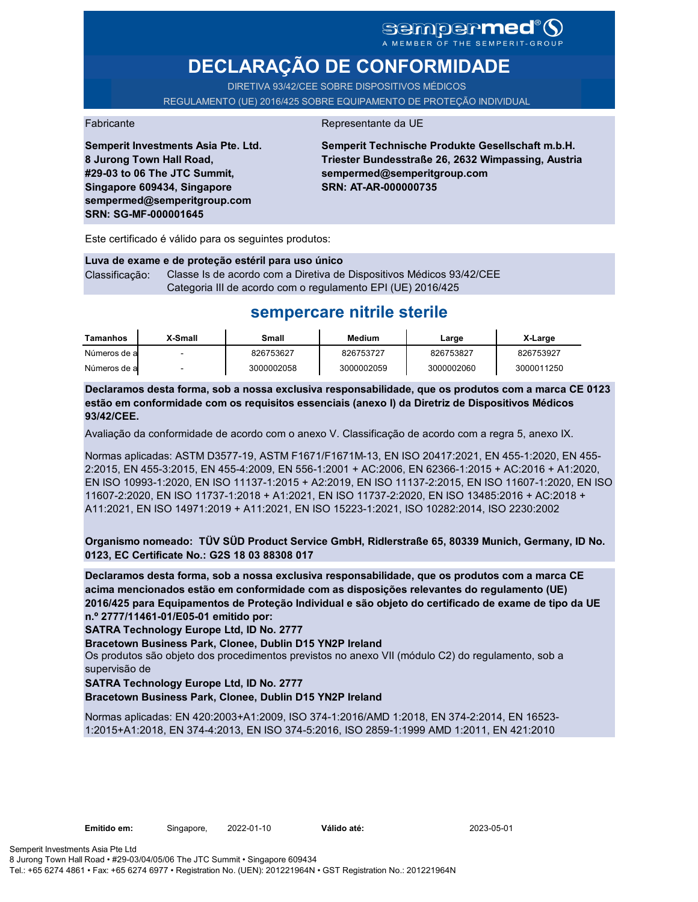# sempermed<sup>®</sup>Q

A MEMBER OF THE SEMPERIT-GROUP

# **DECLARAÇÃO DE CONFORMIDADE**

DIRETIVA 93/42/CEE SOBRE DISPOSITIVOS MÉDICOS REGULAMENTO (UE) 2016/425 SOBRE EQUIPAMENTO DE PROTEÇÃO INDIVIDUAL

#### Fabricante da UE

**Semperit Investments Asia Pte. Ltd. 8 Jurong Town Hall Road, #29-03 to 06 The JTC Summit, Singapore 609434, Singapore sempermed@semperitgroup.com SRN: SG-MF-000001645**

**Semperit Technische Produkte Gesellschaft m.b.H. Triester Bundesstraße 26, 2632 Wimpassing, Austria sempermed@semperitgroup.com SRN: AT-AR-000000735**

Este certificado é válido para os seguintes produtos:

**Luva de exame e de proteção estéril para uso único** Classificação: Classe Is de acordo com a Diretiva de Dispositivos Médicos 93/42/CEE Categoria III de acordo com o regulamento EPI (UE) 2016/425

## **sempercare nitrile sterile**

| Tamanhos     | X-Small | Small      | Medium     | Large      | X-Large    |
|--------------|---------|------------|------------|------------|------------|
| Números de a |         | 826753627  | 826753727  | 826753827  | 826753927  |
| Números de a |         | 3000002058 | 3000002059 | 3000002060 | 3000011250 |

**Declaramos desta forma, sob a nossa exclusiva responsabilidade, que os produtos com a marca CE 0123 estão em conformidade com os requisitos essenciais (anexo I) da Diretriz de Dispositivos Médicos 93/42/CEE.**

Avaliação da conformidade de acordo com o anexo V. Classificação de acordo com a regra 5, anexo IX.

Normas aplicadas: ASTM D3577-19, ASTM F1671/F1671M-13, EN ISO 20417:2021, EN 455-1:2020, EN 455- 2:2015, EN 455-3:2015, EN 455-4:2009, EN 556-1:2001 + AC:2006, EN 62366-1:2015 + AC:2016 + A1:2020, EN ISO 10993-1:2020, EN ISO 11137-1:2015 + A2:2019, EN ISO 11137-2:2015, EN ISO 11607-1:2020, EN ISO 11607-2:2020, EN ISO 11737-1:2018 + A1:2021, EN ISO 11737-2:2020, EN ISO 13485:2016 + AC:2018 + A11:2021, EN ISO 14971:2019 + A11:2021, EN ISO 15223-1:2021, ISO 10282:2014, ISO 2230:2002

**Organismo nomeado: TÜV SÜD Product Service GmbH, Ridlerstraße 65, 80339 Munich, Germany, ID No. 0123, EC Certificate No.: G2S 18 03 88308 017**

**Declaramos desta forma, sob a nossa exclusiva responsabilidade, que os produtos com a marca CE acima mencionados estão em conformidade com as disposições relevantes do regulamento (UE) 2016/425 para Equipamentos de Proteção Individual e são objeto do certificado de exame de tipo da UE n.º 2777/11461-01/E05-01 emitido por:**

**SATRA Technology Europe Ltd, ID No. 2777**

**Bracetown Business Park, Clonee, Dublin D15 YN2P Ireland**

Os produtos são objeto dos procedimentos previstos no anexo VII (módulo C2) do regulamento, sob a supervisão de

**SATRA Technology Europe Ltd, ID No. 2777**

**Bracetown Business Park, Clonee, Dublin D15 YN2P Ireland**

Normas aplicadas: EN 420:2003+A1:2009, ISO 374-1:2016/AMD 1:2018, EN 374-2:2014, EN 16523- 1:2015+A1:2018, EN 374-4:2013, EN ISO 374-5:2016, ISO 2859-1:1999 AMD 1:2011, EN 421:2010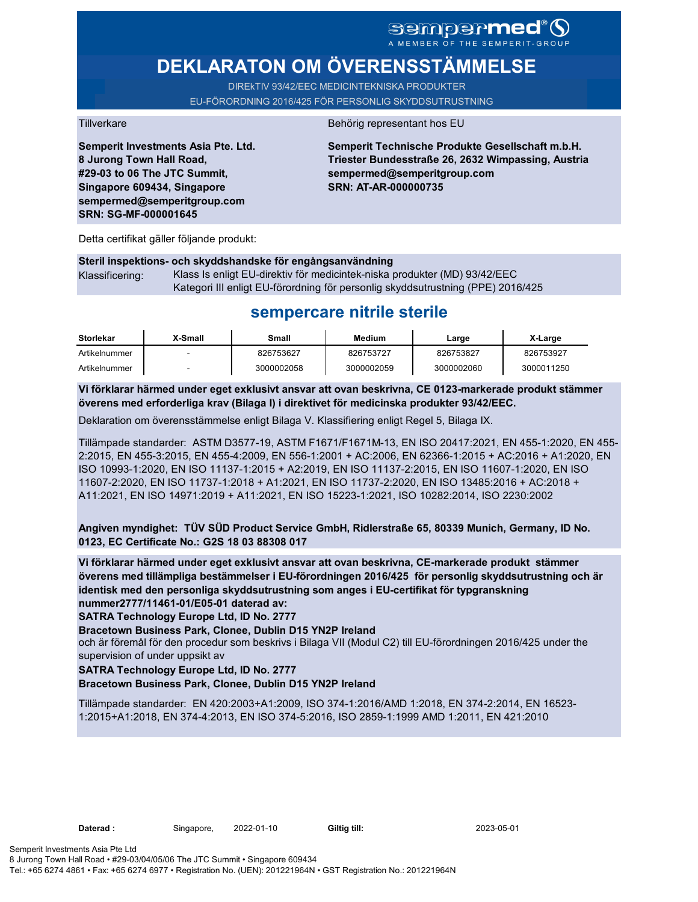### sempermed®9 A MEMBER OF THE SEMPERIT-GROUP

# **DEKLARATON OM ÖVERENSSTÄMMELSE**

DIREkTIV 93/42/EEC MEDICINTEKNISKA PRODUKTER EU-FÖRORDNING 2016/425 FÖR PERSONLIG SKYDDSUTRUSTNING

**Semperit Investments Asia Pte. Ltd. 8 Jurong Town Hall Road, #29-03 to 06 The JTC Summit, Singapore 609434, Singapore sempermed@semperitgroup.com SRN: SG-MF-000001645**

#### Tillverkare Behörig representant hos EU

**Semperit Technische Produkte Gesellschaft m.b.H. Triester Bundesstraße 26, 2632 Wimpassing, Austria sempermed@semperitgroup.com SRN: AT-AR-000000735**

Detta certifikat gäller följande produkt:

### **Steril inspektions- och skyddshandske för engångsanvändning**  Klassificering: Klass Is enligt EU-direktiv för medicintek-niska produkter (MD) 93/42/EEC Kategori III enligt EU-förordning för personlig skyddsutrustning (PPE) 2016/425

# **sempercare nitrile sterile**

| Storlekar     | X-Small                  | Small      | Medium     | Large      | X-Large    |
|---------------|--------------------------|------------|------------|------------|------------|
| Artikelnummer | $\overline{\phantom{0}}$ | 826753627  | 826753727  | 826753827  | 826753927  |
| Artikelnummer | -                        | 3000002058 | 3000002059 | 3000002060 | 3000011250 |

**Vi förklarar härmed under eget exklusivt ansvar att ovan beskrivna, CE 0123-markerade produkt stämmer överens med erforderliga krav (Bilaga I) i direktivet för medicinska produkter 93/42/EEC.**

Deklaration om överensstämmelse enligt Bilaga V. Klassifiering enligt Regel 5, Bilaga IX.

Tillämpade standarder: ASTM D3577-19, ASTM F1671/F1671M-13, EN ISO 20417:2021, EN 455-1:2020, EN 455- 2:2015, EN 455-3:2015, EN 455-4:2009, EN 556-1:2001 + AC:2006, EN 62366-1:2015 + AC:2016 + A1:2020, EN ISO 10993-1:2020, EN ISO 11137-1:2015 + A2:2019, EN ISO 11137-2:2015, EN ISO 11607-1:2020, EN ISO 11607-2:2020, EN ISO 11737-1:2018 + A1:2021, EN ISO 11737-2:2020, EN ISO 13485:2016 + AC:2018 + A11:2021, EN ISO 14971:2019 + A11:2021, EN ISO 15223-1:2021, ISO 10282:2014, ISO 2230:2002

**Angiven myndighet: TÜV SÜD Product Service GmbH, Ridlerstraße 65, 80339 Munich, Germany, ID No. 0123, EC Certificate No.: G2S 18 03 88308 017**

**Vi förklarar härmed under eget exklusivt ansvar att ovan beskrivna, CE-markerade produkt stämmer överens med tillämpliga bestämmelser i EU-förordningen 2016/425 för personlig skyddsutrustning och är identisk med den personliga skyddsutrustning som anges i EU-certifikat för typgranskning nummer2777/11461-01/E05-01 daterad av:**

**SATRA Technology Europe Ltd, ID No. 2777**

**Bracetown Business Park, Clonee, Dublin D15 YN2P Ireland**

och är föremål för den procedur som beskrivs i Bilaga VII (Modul C2) till EU-förordningen 2016/425 under the supervision of under uppsikt av

### **SATRA Technology Europe Ltd, ID No. 2777**

### **Bracetown Business Park, Clonee, Dublin D15 YN2P Ireland**

Tillämpade standarder: EN 420:2003+A1:2009, ISO 374-1:2016/AMD 1:2018, EN 374-2:2014, EN 16523- 1:2015+A1:2018, EN 374-4:2013, EN ISO 374-5:2016, ISO 2859-1:1999 AMD 1:2011, EN 421:2010

**Daterad :** Singapore, 2022-01-10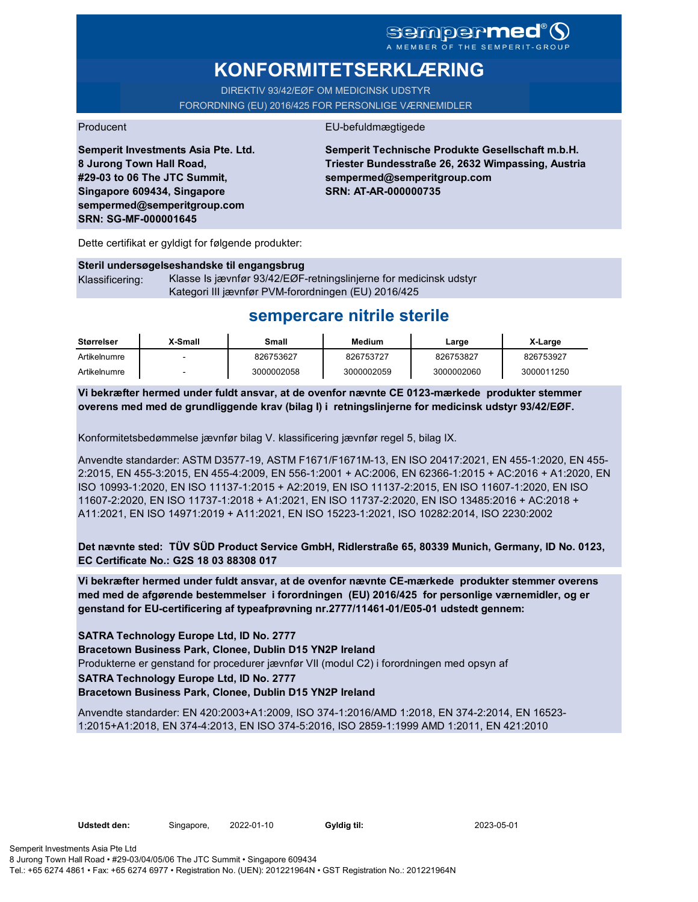## **sempermed** MEMBER OF THE SEMPERIT-

# **KONFORMITETSERKLÆRING**

DIREKTIV 93/42/EØF OM MEDICINSK UDSTYR FORORDNING (EU) 2016/425 FOR PERSONLIGE VÆRNEMIDLER

#### Producent EU-befuldmægtigede

**Semperit Investments Asia Pte. Ltd. 8 Jurong Town Hall Road, #29-03 to 06 The JTC Summit, Singapore 609434, Singapore sempermed@semperitgroup.com SRN: SG-MF-000001645**

**Semperit Technische Produkte Gesellschaft m.b.H. Triester Bundesstraße 26, 2632 Wimpassing, Austria sempermed@semperitgroup.com SRN: AT-AR-000000735**

Dette certifikat er gyldigt for følgende produkter:

#### **Steril undersøgelseshandske til engangsbrug** Klassificering: Klasse Is jævnfør 93/42/EØF-retningslinjerne for medicinsk udstyr Kategori III jævnfør PVM-forordningen (EU) 2016/425

# **sempercare nitrile sterile**

| Størrelser   | X-Small | Small      | Medium     | Large      | X-Large    |
|--------------|---------|------------|------------|------------|------------|
| Artikelnumre |         | 826753627  | 826753727  | 826753827  | 826753927  |
| Artikelnumre |         | 3000002058 | 3000002059 | 3000002060 | 3000011250 |

**Vi bekræfter hermed under fuldt ansvar, at de ovenfor nævnte CE 0123-mærkede produkter stemmer overens med med de grundliggende krav (bilag I) i retningslinjerne for medicinsk udstyr 93/42/EØF.**

Konformitetsbedømmelse jævnfør bilag V. klassificering jævnfør regel 5, bilag IX.

Anvendte standarder: ASTM D3577-19, ASTM F1671/F1671M-13, EN ISO 20417:2021, EN 455-1:2020, EN 455- 2:2015, EN 455-3:2015, EN 455-4:2009, EN 556-1:2001 + AC:2006, EN 62366-1:2015 + AC:2016 + A1:2020, EN ISO 10993-1:2020, EN ISO 11137-1:2015 + A2:2019, EN ISO 11137-2:2015, EN ISO 11607-1:2020, EN ISO 11607-2:2020, EN ISO 11737-1:2018 + A1:2021, EN ISO 11737-2:2020, EN ISO 13485:2016 + AC:2018 + A11:2021, EN ISO 14971:2019 + A11:2021, EN ISO 15223-1:2021, ISO 10282:2014, ISO 2230:2002

**Det nævnte sted: TÜV SÜD Product Service GmbH, Ridlerstraße 65, 80339 Munich, Germany, ID No. 0123, EC Certificate No.: G2S 18 03 88308 017**

**Vi bekræfter hermed under fuldt ansvar, at de ovenfor nævnte CE-mærkede produkter stemmer overens med med de afgørende bestemmelser i forordningen (EU) 2016/425 for personlige værnemidler, og er genstand for EU-certificering af typeafprøvning nr.2777/11461-01/E05-01 udstedt gennem:**

**SATRA Technology Europe Ltd, ID No. 2777**

**Bracetown Business Park, Clonee, Dublin D15 YN2P Ireland** Produkterne er genstand for procedurer jævnfør VII (modul C2) i forordningen med opsyn af **SATRA Technology Europe Ltd, ID No. 2777 Bracetown Business Park, Clonee, Dublin D15 YN2P Ireland**

Anvendte standarder: EN 420:2003+A1:2009, ISO 374-1:2016/AMD 1:2018, EN 374-2:2014, EN 16523- 1:2015+A1:2018, EN 374-4:2013, EN ISO 374-5:2016, ISO 2859-1:1999 AMD 1:2011, EN 421:2010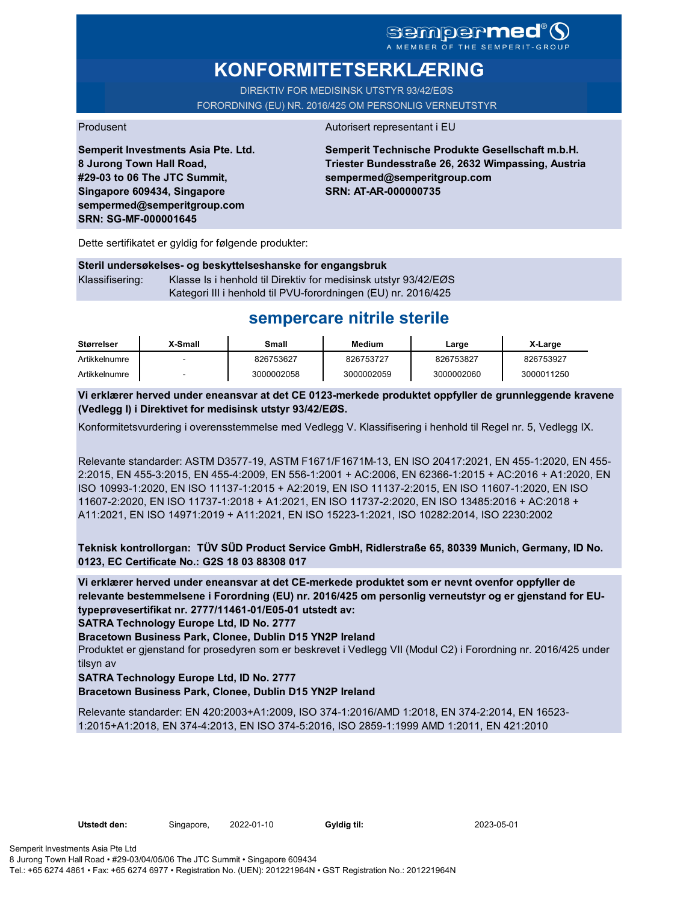## **Sempermed IEMBER OF THE SEMPERIT**

**KONFORMITETSERKLÆRING**

DIREKTIV FOR MEDISINSK UTSTYR 93/42/EØS FORORDNING (EU) NR. 2016/425 OM PERSONLIG VERNEUTSTYR

Produsent Autorisert representant i EU

**Semperit Investments Asia Pte. Ltd. 8 Jurong Town Hall Road, #29-03 to 06 The JTC Summit, Singapore 609434, Singapore sempermed@semperitgroup.com SRN: SG-MF-000001645**

**Semperit Technische Produkte Gesellschaft m.b.H. Triester Bundesstraße 26, 2632 Wimpassing, Austria sempermed@semperitgroup.com SRN: AT-AR-000000735**

Dette sertifikatet er gyldig for følgende produkter:

### **Steril undersøkelses- og beskyttelseshanske for engangsbruk** Klassifisering: Klasse Is i henhold til Direktiv for medisinsk utstyr 93/42/EØS Kategori III i henhold til PVU-forordningen (EU) nr. 2016/425

## **sempercare nitrile sterile**

| Størrelser    | X-Small | Small      | Medium     | Large      | X-Large    |
|---------------|---------|------------|------------|------------|------------|
| Artikkelnumre |         | 826753627  | 826753727  | 826753827  | 826753927  |
| Artikkelnumre |         | 3000002058 | 3000002059 | 3000002060 | 3000011250 |

**Vi erklærer herved under eneansvar at det CE 0123-merkede produktet oppfyller de grunnleggende kravene (Vedlegg I) i Direktivet for medisinsk utstyr 93/42/EØS.**

Konformitetsvurdering i overensstemmelse med Vedlegg V. Klassifisering i henhold til Regel nr. 5, Vedlegg IX.

Relevante standarder: ASTM D3577-19, ASTM F1671/F1671M-13, EN ISO 20417:2021, EN 455-1:2020, EN 455- 2:2015, EN 455-3:2015, EN 455-4:2009, EN 556-1:2001 + AC:2006, EN 62366-1:2015 + AC:2016 + A1:2020, EN ISO 10993-1:2020, EN ISO 11137-1:2015 + A2:2019, EN ISO 11137-2:2015, EN ISO 11607-1:2020, EN ISO 11607-2:2020, EN ISO 11737-1:2018 + A1:2021, EN ISO 11737-2:2020, EN ISO 13485:2016 + AC:2018 + A11:2021, EN ISO 14971:2019 + A11:2021, EN ISO 15223-1:2021, ISO 10282:2014, ISO 2230:2002

**Teknisk kontrollorgan: TÜV SÜD Product Service GmbH, Ridlerstraße 65, 80339 Munich, Germany, ID No. 0123, EC Certificate No.: G2S 18 03 88308 017**

**Vi erklærer herved under eneansvar at det CE-merkede produktet som er nevnt ovenfor oppfyller de relevante bestemmelsene i Forordning (EU) nr. 2016/425 om personlig verneutstyr og er gjenstand for EUtypeprøvesertifikat nr. 2777/11461-01/E05-01 utstedt av:**

**SATRA Technology Europe Ltd, ID No. 2777**

**Bracetown Business Park, Clonee, Dublin D15 YN2P Ireland**

Produktet er gjenstand for prosedyren som er beskrevet i Vedlegg VII (Modul C2) i Forordning nr. 2016/425 under tilsyn av

**SATRA Technology Europe Ltd, ID No. 2777**

**Bracetown Business Park, Clonee, Dublin D15 YN2P Ireland**

Relevante standarder: EN 420:2003+A1:2009, ISO 374-1:2016/AMD 1:2018, EN 374-2:2014, EN 16523- 1:2015+A1:2018, EN 374-4:2013, EN ISO 374-5:2016, ISO 2859-1:1999 AMD 1:2011, EN 421:2010

Utstedt den: Singapore, 2022-01-10

Gyldig til: 2023-05-01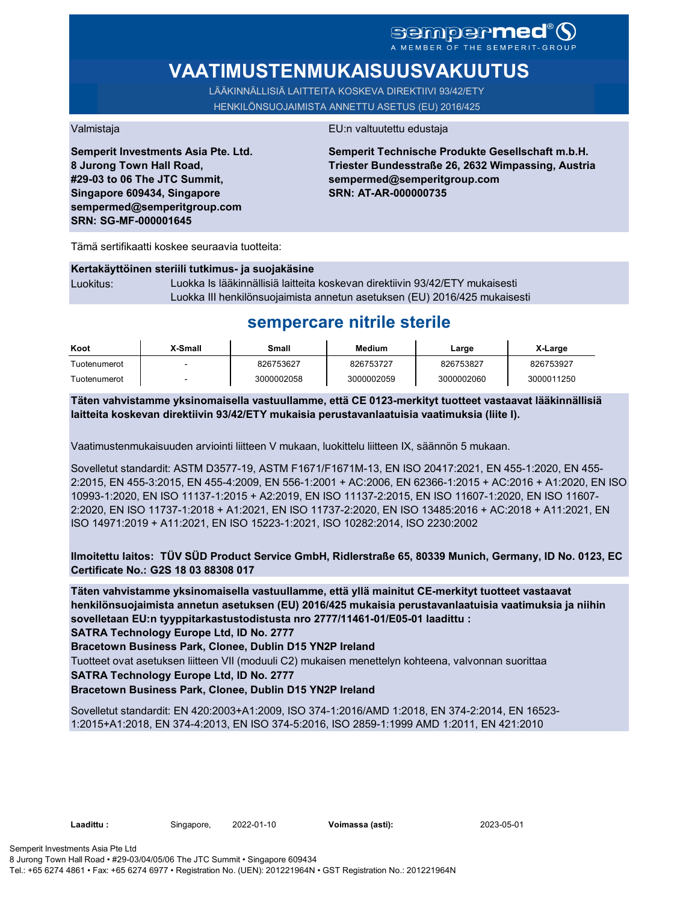## **sempermed** A MEMBER OF THE SEMPERIT-GROUP

**VAATIMUSTENMUKAISUUSVAKUUTUS**

LÄÄKINNÄLLISIÄ LAITTEITA KOSKEVA DIREKTIIVI 93/42/ETY HENKILÖNSUOJAIMISTA ANNETTU ASETUS (EU) 2016/425

**Semperit Investments Asia Pte. Ltd. 8 Jurong Town Hall Road, #29-03 to 06 The JTC Summit, Singapore 609434, Singapore sempermed@semperitgroup.com SRN: SG-MF-000001645**

#### Valmistaja EU:n valtuutettu edustaja

**Semperit Technische Produkte Gesellschaft m.b.H. Triester Bundesstraße 26, 2632 Wimpassing, Austria sempermed@semperitgroup.com SRN: AT-AR-000000735**

Tämä sertifikaatti koskee seuraavia tuotteita:

|           | Kertakäyttöinen steriili tutkimus- ja suojakäsine                            |
|-----------|------------------------------------------------------------------------------|
| Luokitus: | Luokka Is lääkinnällisiä laitteita koskevan direktiivin 93/42/ETY mukaisesti |
|           | Luokka III henkilönsuojaimista annetun asetuksen (EU) 2016/425 mukaisesti    |

## **sempercare nitrile sterile**

| Koot         | X-Small | Small      | Medium     | Large      | X-Large    |
|--------------|---------|------------|------------|------------|------------|
| Tuotenumerot |         | 826753627  | 826753727  | 826753827  | 826753927  |
| Tuotenumerot |         | 3000002058 | 3000002059 | 3000002060 | 3000011250 |

**Täten vahvistamme yksinomaisella vastuullamme, että CE 0123-merkityt tuotteet vastaavat lääkinnällisiä laitteita koskevan direktiivin 93/42/ETY mukaisia perustavanlaatuisia vaatimuksia (liite I).**

Vaatimustenmukaisuuden arviointi liitteen V mukaan, luokittelu liitteen IX, säännön 5 mukaan.

Sovelletut standardit: ASTM D3577-19, ASTM F1671/F1671M-13, EN ISO 20417:2021, EN 455-1:2020, EN 455- 2:2015, EN 455-3:2015, EN 455-4:2009, EN 556-1:2001 + AC:2006, EN 62366-1:2015 + AC:2016 + A1:2020, EN ISO 10993-1:2020, EN ISO 11137-1:2015 + A2:2019, EN ISO 11137-2:2015, EN ISO 11607-1:2020, EN ISO 11607- 2:2020, EN ISO 11737-1:2018 + A1:2021, EN ISO 11737-2:2020, EN ISO 13485:2016 + AC:2018 + A11:2021, EN ISO 14971:2019 + A11:2021, EN ISO 15223-1:2021, ISO 10282:2014, ISO 2230:2002

**Ilmoitettu laitos: TÜV SÜD Product Service GmbH, Ridlerstraße 65, 80339 Munich, Germany, ID No. 0123, EC Certificate No.: G2S 18 03 88308 017**

**Täten vahvistamme yksinomaisella vastuullamme, että yllä mainitut CE-merkityt tuotteet vastaavat henkilönsuojaimista annetun asetuksen (EU) 2016/425 mukaisia perustavanlaatuisia vaatimuksia ja niihin sovelletaan EU:n tyyppitarkastustodistusta nro 2777/11461-01/E05-01 laadittu :**

**SATRA Technology Europe Ltd, ID No. 2777**

**Bracetown Business Park, Clonee, Dublin D15 YN2P Ireland**

Tuotteet ovat asetuksen liitteen VII (moduuli C2) mukaisen menettelyn kohteena, valvonnan suorittaa

**SATRA Technology Europe Ltd, ID No. 2777**

### **Bracetown Business Park, Clonee, Dublin D15 YN2P Ireland**

Sovelletut standardit: EN 420:2003+A1:2009, ISO 374-1:2016/AMD 1:2018, EN 374-2:2014, EN 16523- 1:2015+A1:2018, EN 374-4:2013, EN ISO 374-5:2016, ISO 2859-1:1999 AMD 1:2011, EN 421:2010

**Laadittu :** Singapore, **Voimassa (asti):** 2022-01-10 2023-05-01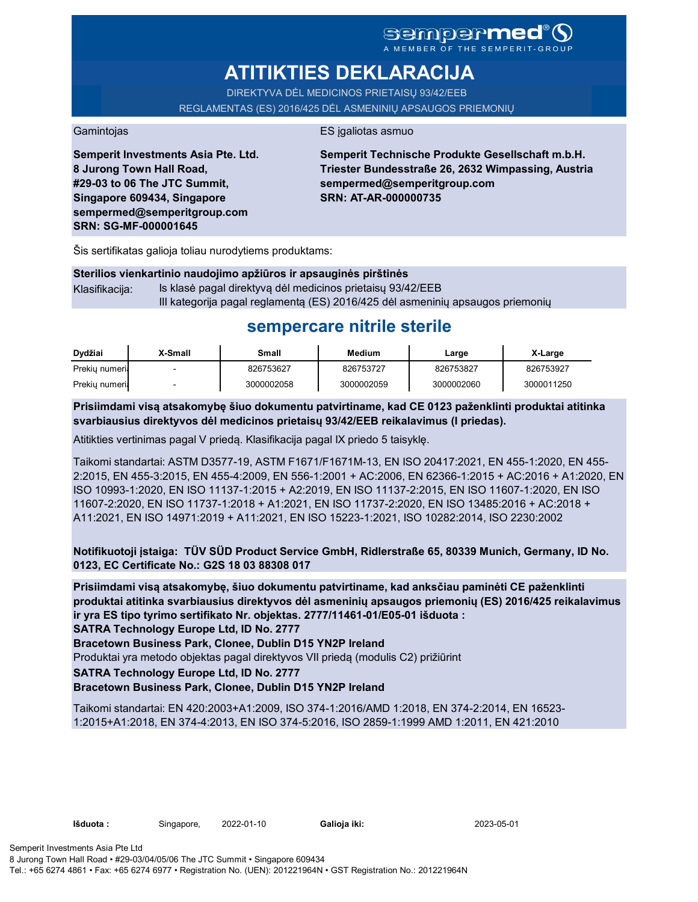# **semperme**

A MEMBER OF THE SEMPERIT-GROUP

# **ATITIKTIES DEKLARACIJA**

DIREKTYVA DĖL MEDICINOS PRIETAISŲ 93/42/EEB

REGLAMENTAS (ES) 2016/425 DĖL ASMENINIŲ APSAUGOS PRIEMONIŲ

Gamintojas **ES** jgaliotas asmuo

**Semperit Investments Asia Pte. Ltd. 8 Jurong Town Hall Road, #29-03 to 06 The JTC Summit, Singapore 609434, Singapore sempermed@semperitgroup.com SRN: SG-MF-000001645**

**Semperit Technische Produkte Gesellschaft m.b.H. Triester Bundesstraße 26, 2632 Wimpassing, Austria sempermed@semperitgroup.com SRN: AT-AR-000000735**

Šis sertifikatas galioja toliau nurodytiems produktams:

| Sterilios vienkartinio naudojimo apžiūros ir apsauginės pirštinės |                                                                                |  |  |  |  |
|-------------------------------------------------------------------|--------------------------------------------------------------------------------|--|--|--|--|
| Klasifikaciia:                                                    | Is klasė pagal direktyvą dėl medicinos prietaisų 93/42/EEB                     |  |  |  |  |
|                                                                   | III kategorija pagal reglamentą (ES) 2016/425 dėl asmeninių apsaugos priemonių |  |  |  |  |

# **sempercare nitrile sterile**

| Dydžiai        | X-Small | Small      | <b>Medium</b> | Large      | X-Large    |
|----------------|---------|------------|---------------|------------|------------|
| Prekiu numeria |         | 826753627  | 826753727     | 826753827  | 826753927  |
| Prekiu numeria |         | 3000002058 | 3000002059    | 3000002060 | 3000011250 |

**Prisiimdami visą atsakomybę šiuo dokumentu patvirtiname, kad CE 0123 paženklinti produktai atitinka svarbiausius direktyvos dėl medicinos prietaisų 93/42/EEB reikalavimus (I priedas).**

Atitikties vertinimas pagal V priedą. Klasifikacija pagal IX priedo 5 taisyklę.

Taikomi standartai: ASTM D3577-19, ASTM F1671/F1671M-13, EN ISO 20417:2021, EN 455-1:2020, EN 455- 2:2015, EN 455-3:2015, EN 455-4:2009, EN 556-1:2001 + AC:2006, EN 62366-1:2015 + AC:2016 + A1:2020, EN ISO 10993-1:2020, EN ISO 11137-1:2015 + A2:2019, EN ISO 11137-2:2015, EN ISO 11607-1:2020, EN ISO 11607-2:2020, EN ISO 11737-1:2018 + A1:2021, EN ISO 11737-2:2020, EN ISO 13485:2016 + AC:2018 + A11:2021, EN ISO 14971:2019 + A11:2021, EN ISO 15223-1:2021, ISO 10282:2014, ISO 2230:2002

**Notifikuotoji įstaiga: TÜV SÜD Product Service GmbH, Ridlerstraße 65, 80339 Munich, Germany, ID No. 0123, EC Certificate No.: G2S 18 03 88308 017**

**Prisiimdami visą atsakomybę, šiuo dokumentu patvirtiname, kad anksčiau paminėti CE paženklinti produktai atitinka svarbiausius direktyvos dėl asmeninių apsaugos priemonių (ES) 2016/425 reikalavimus ir yra ES tipo tyrimo sertifikato Nr. objektas. 2777/11461-01/E05-01 išduota :**

**SATRA Technology Europe Ltd, ID No. 2777**

**Bracetown Business Park, Clonee, Dublin D15 YN2P Ireland**

Produktai yra metodo objektas pagal direktyvos VII priedą (modulis C2) prižiūrint

**SATRA Technology Europe Ltd, ID No. 2777**

### **Bracetown Business Park, Clonee, Dublin D15 YN2P Ireland**

Taikomi standartai: EN 420:2003+A1:2009, ISO 374-1:2016/AMD 1:2018, EN 374-2:2014, EN 16523- 1:2015+A1:2018, EN 374-4:2013, EN ISO 374-5:2016, ISO 2859-1:1999 AMD 1:2011, EN 421:2010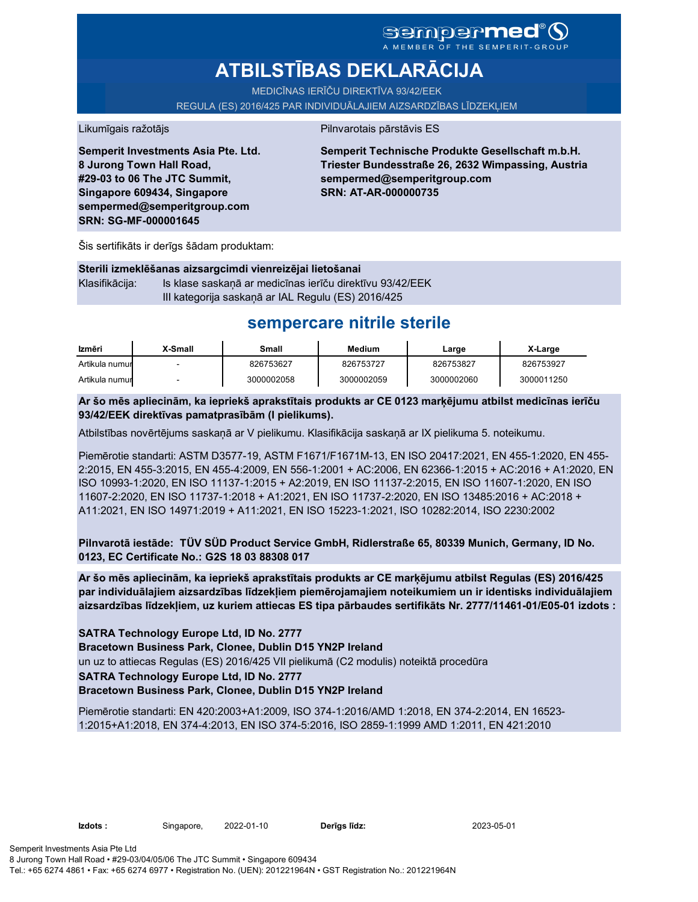# **sempermed**

A MEMBER OF THE SEMPERIT

# **ATBILSTĪBAS DEKLARĀCIJA**

MEDICĪNAS IERĪČU DIREKTĪVA 93/42/EEK

REGULA (ES) 2016/425 PAR INDIVIDUĀLAJIEM AIZSARDZĪBAS LĪDZEKĻIEM

#### Likumīgais ražotājs **Pilnvarotais pārstāvis ES**

**Semperit Investments Asia Pte. Ltd. 8 Jurong Town Hall Road, #29-03 to 06 The JTC Summit, Singapore 609434, Singapore sempermed@semperitgroup.com SRN: SG-MF-000001645**

**Semperit Technische Produkte Gesellschaft m.b.H. Triester Bundesstraße 26, 2632 Wimpassing, Austria sempermed@semperitgroup.com SRN: AT-AR-000000735**

Šis sertifikāts ir derīgs šādam produktam:

| Sterili izmeklēšanas aizsargcimdi vienreizējai lietošanai |                                                          |  |  |  |  |
|-----------------------------------------------------------|----------------------------------------------------------|--|--|--|--|
| Klasifikācija:                                            | Is klase saskanā ar medicīnas ierīču direktīvu 93/42/EEK |  |  |  |  |
|                                                           | III kategorija saskanā ar IAL Regulu (ES) 2016/425       |  |  |  |  |

## **sempercare nitrile sterile**

| Izmēri         | X-Small | Small      | Medium     | Large      | X-Large    |
|----------------|---------|------------|------------|------------|------------|
| Artikula numur |         | 826753627  | 826753727  | 826753827  | 826753927  |
| Artikula numur |         | 3000002058 | 3000002059 | 3000002060 | 3000011250 |

**Ar šo mēs apliecinām, ka iepriekš aprakstītais produkts ar CE 0123 marķējumu atbilst medicīnas ierīču 93/42/EEK direktīvas pamatprasībām (I pielikums).**

Atbilstības novērtējums saskaņā ar V pielikumu. Klasifikācija saskaņā ar IX pielikuma 5. noteikumu.

Piemērotie standarti: ASTM D3577-19, ASTM F1671/F1671M-13, EN ISO 20417:2021, EN 455-1:2020, EN 455- 2:2015, EN 455-3:2015, EN 455-4:2009, EN 556-1:2001 + AC:2006, EN 62366-1:2015 + AC:2016 + A1:2020, EN ISO 10993-1:2020, EN ISO 11137-1:2015 + A2:2019, EN ISO 11137-2:2015, EN ISO 11607-1:2020, EN ISO 11607-2:2020, EN ISO 11737-1:2018 + A1:2021, EN ISO 11737-2:2020, EN ISO 13485:2016 + AC:2018 + A11:2021, EN ISO 14971:2019 + A11:2021, EN ISO 15223-1:2021, ISO 10282:2014, ISO 2230:2002

**Pilnvarotā iestāde: TÜV SÜD Product Service GmbH, Ridlerstraße 65, 80339 Munich, Germany, ID No. 0123, EC Certificate No.: G2S 18 03 88308 017**

**Ar šo mēs apliecinām, ka iepriekš aprakstītais produkts ar CE marķējumu atbilst Regulas (ES) 2016/425 par individuālajiem aizsardzības līdzekļiem piemērojamajiem noteikumiem un ir identisks individuālajiem aizsardzības līdzekļiem, uz kuriem attiecas ES tipa pārbaudes sertifikāts Nr. 2777/11461-01/E05-01 izdots :**

**SATRA Technology Europe Ltd, ID No. 2777**

**Bracetown Business Park, Clonee, Dublin D15 YN2P Ireland** un uz to attiecas Regulas (ES) 2016/425 VII pielikumā (C2 modulis) noteiktā procedūra **SATRA Technology Europe Ltd, ID No. 2777 Bracetown Business Park, Clonee, Dublin D15 YN2P Ireland**

Piemērotie standarti: EN 420:2003+A1:2009, ISO 374-1:2016/AMD 1:2018, EN 374-2:2014, EN 16523- 1:2015+A1:2018, EN 374-4:2013, EN ISO 374-5:2016, ISO 2859-1:1999 AMD 1:2011, EN 421:2010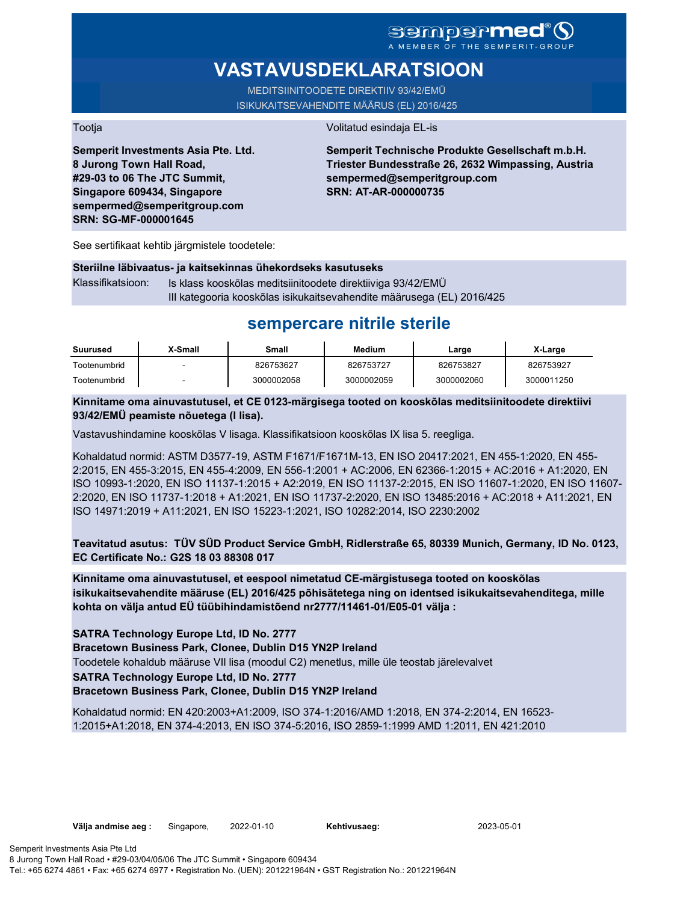### **sempermed** MEMBER OF THE SEMPERIT-

# **VASTAVUSDEKLARATSIOON**

MEDITSIINITOODETE DIREKTIIV 93/42/EMÜ ISIKUKAITSEVAHENDITE MÄÄRUS (EL) 2016/425

Tootja Volitatud esindaja EL-is

**Semperit Investments Asia Pte. Ltd. 8 Jurong Town Hall Road, #29-03 to 06 The JTC Summit, Singapore 609434, Singapore sempermed@semperitgroup.com SRN: SG-MF-000001645**

**Semperit Technische Produkte Gesellschaft m.b.H. Triester Bundesstraße 26, 2632 Wimpassing, Austria sempermed@semperitgroup.com SRN: AT-AR-000000735**

See sertifikaat kehtib järgmistele toodetele:

#### **Steriilne läbivaatus- ja kaitsekinnas ühekordseks kasutuseks**

Klassifikatsioon: Is klass kooskõlas meditsiinitoodete direktiiviga 93/42/EMÜ III kategooria kooskõlas isikukaitsevahendite määrusega (EL) 2016/425

## **sempercare nitrile sterile**

| Suurused     | X-Small | Small      | Medium     | Large      | X-Large    |
|--------------|---------|------------|------------|------------|------------|
| Tootenumbrid | -       | 826753627  | 826753727  | 826753827  | 826753927  |
| Tootenumbrid | -       | 3000002058 | 3000002059 | 3000002060 | 3000011250 |

**Kinnitame oma ainuvastutusel, et CE 0123-märgisega tooted on kooskõlas meditsiinitoodete direktiivi 93/42/EMÜ peamiste nõuetega (I lisa).**

Vastavushindamine kooskõlas V lisaga. Klassifikatsioon kooskõlas IX lisa 5. reegliga.

Kohaldatud normid: ASTM D3577-19, ASTM F1671/F1671M-13, EN ISO 20417:2021, EN 455-1:2020, EN 455- 2:2015, EN 455-3:2015, EN 455-4:2009, EN 556-1:2001 + AC:2006, EN 62366-1:2015 + AC:2016 + A1:2020, EN ISO 10993-1:2020, EN ISO 11137-1:2015 + A2:2019, EN ISO 11137-2:2015, EN ISO 11607-1:2020, EN ISO 11607- 2:2020, EN ISO 11737-1:2018 + A1:2021, EN ISO 11737-2:2020, EN ISO 13485:2016 + AC:2018 + A11:2021, EN ISO 14971:2019 + A11:2021, EN ISO 15223-1:2021, ISO 10282:2014, ISO 2230:2002

**Teavitatud asutus: TÜV SÜD Product Service GmbH, Ridlerstraße 65, 80339 Munich, Germany, ID No. 0123, EC Certificate No.: G2S 18 03 88308 017**

**Kinnitame oma ainuvastutusel, et eespool nimetatud CE-märgistusega tooted on kooskõlas isikukaitsevahendite määruse (EL) 2016/425 põhisätetega ning on identsed isikukaitsevahenditega, mille kohta on välja antud EÜ tüübihindamistõend nr2777/11461-01/E05-01 välja :**

**SATRA Technology Europe Ltd, ID No. 2777**

**Bracetown Business Park, Clonee, Dublin D15 YN2P Ireland**

Toodetele kohaldub määruse VII lisa (moodul C2) menetlus, mille üle teostab järelevalvet

**SATRA Technology Europe Ltd, ID No. 2777**

#### **Bracetown Business Park, Clonee, Dublin D15 YN2P Ireland**

Kohaldatud normid: EN 420:2003+A1:2009, ISO 374-1:2016/AMD 1:2018, EN 374-2:2014, EN 16523- 1:2015+A1:2018, EN 374-4:2013, EN ISO 374-5:2016, ISO 2859-1:1999 AMD 1:2011, EN 421:2010

Kehtivusaeg: 2023-05-01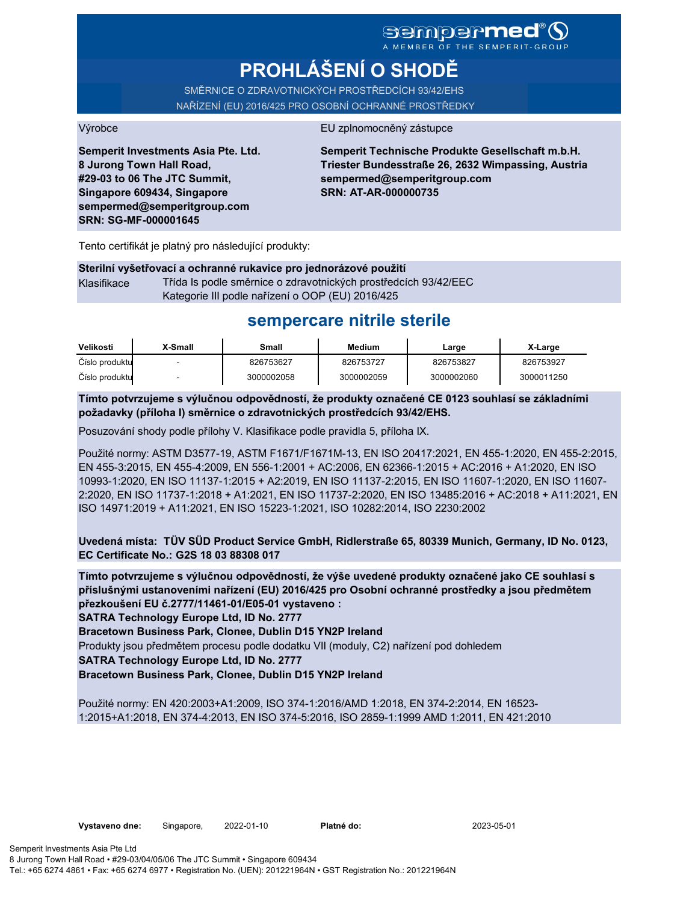A MEMBER OF THE SEMPERIT

# **PROHLÁŠENÍ O SHODĚ**

SMĚRNICE O ZDRAVOTNICKÝCH PROSTŘEDCÍCH 93/42/EHS NAŘÍZENÍ (EU) 2016/425 PRO OSOBNÍ OCHRANNÉ PROSTŘEDKY

#### Výrobce EU zplnomocněný zástupce

**Semperit Investments Asia Pte. Ltd. 8 Jurong Town Hall Road, #29-03 to 06 The JTC Summit, Singapore 609434, Singapore sempermed@semperitgroup.com SRN: SG-MF-000001645**

**Semperit Technische Produkte Gesellschaft m.b.H. Triester Bundesstraße 26, 2632 Wimpassing, Austria sempermed@semperitgroup.com SRN: AT-AR-000000735**

Tento certifikát je platný pro následující produkty:

#### **Sterilní vyšetřovací a ochranné rukavice pro jednorázové použití** Klasifikace Třída Is podle směrnice o zdravotnických prostředcích 93/42/EEC

Kategorie III podle nařízení o OOP (EU) 2016/425

## **sempercare nitrile sterile**

| Velikosti      | X-Small | Small      | Medium     | Large      | X-Large    |
|----------------|---------|------------|------------|------------|------------|
| Číslo produktu |         | 826753627  | 826753727  | 826753827  | 826753927  |
| Číslo produktu |         | 3000002058 | 3000002059 | 3000002060 | 3000011250 |

**Tímto potvrzujeme s výlučnou odpovědností, že produkty označené CE 0123 souhlasí se základními požadavky (příloha I) směrnice o zdravotnických prostředcích 93/42/EHS.**

Posuzování shody podle přílohy V. Klasifikace podle pravidla 5, příloha IX.

Použité normy: ASTM D3577-19, ASTM F1671/F1671M-13, EN ISO 20417:2021, EN 455-1:2020, EN 455-2:2015, EN 455-3:2015, EN 455-4:2009, EN 556-1:2001 + AC:2006, EN 62366-1:2015 + AC:2016 + A1:2020, EN ISO 10993-1:2020, EN ISO 11137-1:2015 + A2:2019, EN ISO 11137-2:2015, EN ISO 11607-1:2020, EN ISO 11607- 2:2020, EN ISO 11737-1:2018 + A1:2021, EN ISO 11737-2:2020, EN ISO 13485:2016 + AC:2018 + A11:2021, EN ISO 14971:2019 + A11:2021, EN ISO 15223-1:2021, ISO 10282:2014, ISO 2230:2002

**Uvedená místa: TÜV SÜD Product Service GmbH, Ridlerstraße 65, 80339 Munich, Germany, ID No. 0123, EC Certificate No.: G2S 18 03 88308 017**

**Tímto potvrzujeme s výlučnou odpovědností, že výše uvedené produkty označené jako CE souhlasí s příslušnými ustanoveními nařízení (EU) 2016/425 pro Osobní ochranné prostředky a jsou předmětem přezkoušení EU č.2777/11461-01/E05-01 vystaveno :**

**SATRA Technology Europe Ltd, ID No. 2777**

**Bracetown Business Park, Clonee, Dublin D15 YN2P Ireland**

Produkty jsou předmětem procesu podle dodatku VII (moduly, C2) nařízení pod dohledem

**SATRA Technology Europe Ltd, ID No. 2777**

**Bracetown Business Park, Clonee, Dublin D15 YN2P Ireland**

Použité normy: EN 420:2003+A1:2009, ISO 374-1:2016/AMD 1:2018, EN 374-2:2014, EN 16523- 1:2015+A1:2018, EN 374-4:2013, EN ISO 374-5:2016, ISO 2859-1:1999 AMD 1:2011, EN 421:2010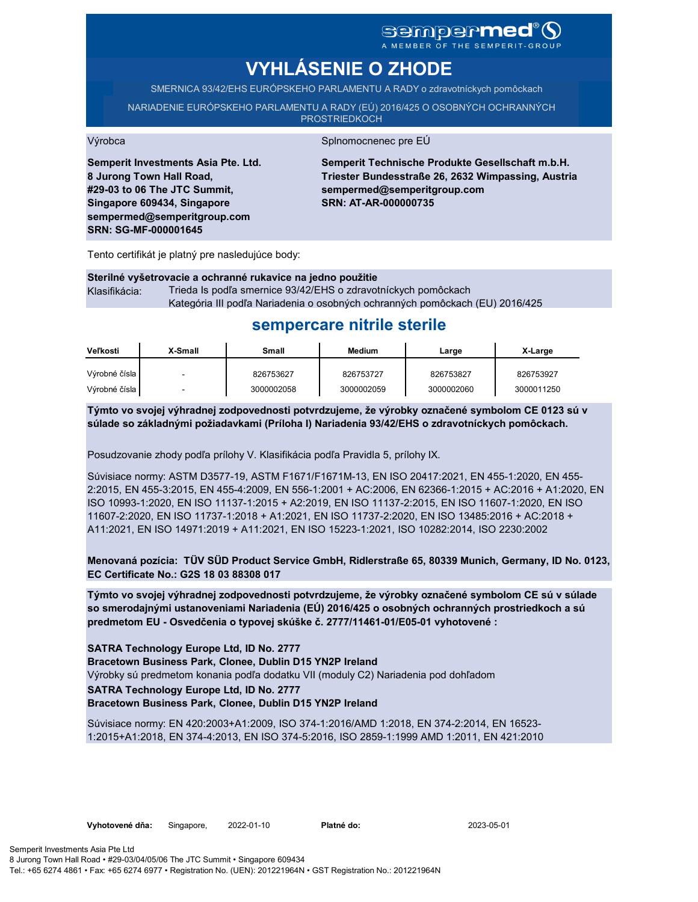# **sempermed**

# **VYHLÁSENIE O ZHODE**

SMERNICA 93/42/EHS EURÓPSKEHO PARLAMENTU A RADY o zdravotníckych pomôckach

NARIADENIE EURÓPSKEHO PARLAMENTU A RADY (EÚ) 2016/425 O OSOBNÝCH OCHRANNÝCH **PROSTRIEDKOCH** 

**Semperit Investments Asia Pte. Ltd. 8 Jurong Town Hall Road, #29-03 to 06 The JTC Summit, Singapore 609434, Singapore sempermed@semperitgroup.com SRN: SG-MF-000001645**

#### Výrobca Splnomocnenec pre EÚ

**Semperit Technische Produkte Gesellschaft m.b.H. Triester Bundesstraße 26, 2632 Wimpassing, Austria sempermed@semperitgroup.com SRN: AT-AR-000000735**

Tento certifikát je platný pre nasledujúce body:

**Sterilné vyšetrovacie a ochranné rukavice na jedno použitie** Klasifikácia: Trieda Is podľa smernice 93/42/EHS o zdravotníckych pomôckach Kategória III podľa Nariadenia o osobných ochranných pomôckach (EU) 2016/425

# **sempercare nitrile sterile**

| <b>Veľkosti</b> | X-Small | Small      | Medium     | Large      | X-Large    |
|-----------------|---------|------------|------------|------------|------------|
| Výrobné čísla   | -       | 826753627  | 826753727  | 826753827  | 826753927  |
| Výrobné čísla   |         | 3000002058 | 3000002059 | 3000002060 | 3000011250 |

**Týmto vo svojej výhradnej zodpovednosti potvrdzujeme, že výrobky označené symbolom CE 0123 sú v súlade so základnými požiadavkami (Príloha I) Nariadenia 93/42/EHS o zdravotníckych pomôckach.**

Posudzovanie zhody podľa prílohy V. Klasifikácia podľa Pravidla 5, prílohy IX.

Súvisiace normy: ASTM D3577-19, ASTM F1671/F1671M-13, EN ISO 20417:2021, EN 455-1:2020, EN 455- 2:2015, EN 455-3:2015, EN 455-4:2009, EN 556-1:2001 + AC:2006, EN 62366-1:2015 + AC:2016 + A1:2020, EN ISO 10993-1:2020, EN ISO 11137-1:2015 + A2:2019, EN ISO 11137-2:2015, EN ISO 11607-1:2020, EN ISO 11607-2:2020, EN ISO 11737-1:2018 + A1:2021, EN ISO 11737-2:2020, EN ISO 13485:2016 + AC:2018 + A11:2021, EN ISO 14971:2019 + A11:2021, EN ISO 15223-1:2021, ISO 10282:2014, ISO 2230:2002

**Menovaná pozícia: TÜV SÜD Product Service GmbH, Ridlerstraße 65, 80339 Munich, Germany, ID No. 0123, EC Certificate No.: G2S 18 03 88308 017**

**Týmto vo svojej výhradnej zodpovednosti potvrdzujeme, že výrobky označené symbolom CE sú v súlade so smerodajnými ustanoveniami Nariadenia (EÚ) 2016/425 o osobných ochranných prostriedkoch a sú predmetom EU - Osvedčenia o typovej skúške č. 2777/11461-01/E05-01 vyhotovené :**

**SATRA Technology Europe Ltd, ID No. 2777**

**Bracetown Business Park, Clonee, Dublin D15 YN2P Ireland**

Výrobky sú predmetom konania podľa dodatku VII (moduly C2) Nariadenia pod dohľadom

**SATRA Technology Europe Ltd, ID No. 2777**

**Bracetown Business Park, Clonee, Dublin D15 YN2P Ireland**

Súvisiace normy: EN 420:2003+A1:2009, ISO 374-1:2016/AMD 1:2018, EN 374-2:2014, EN 16523- 1:2015+A1:2018, EN 374-4:2013, EN ISO 374-5:2016, ISO 2859-1:1999 AMD 1:2011, EN 421:2010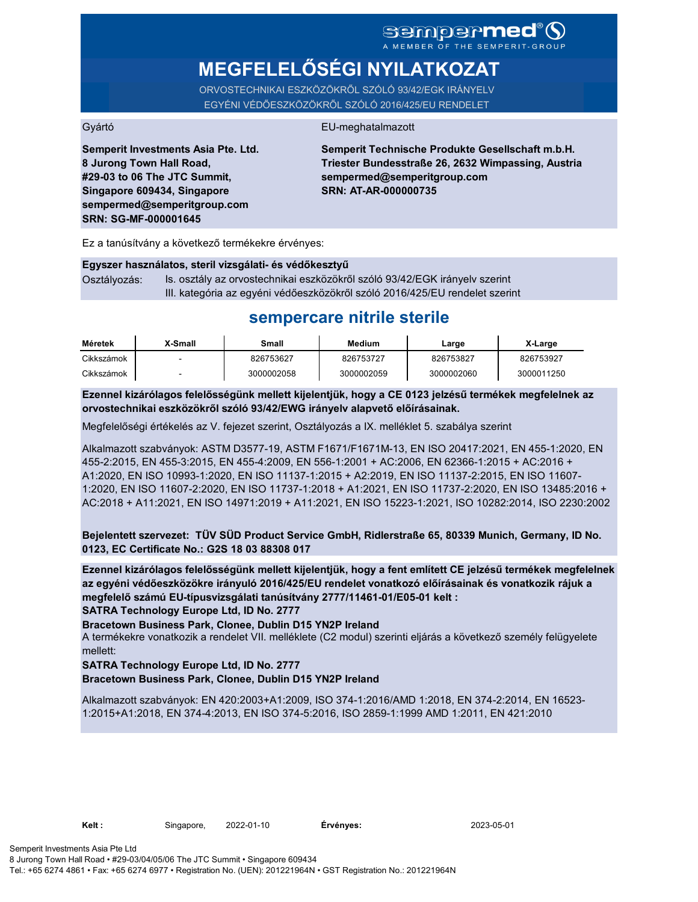# SCMPCPMCC

**MEGFELELŐSÉGI NYILATKOZAT**

ORVOSTECHNIKAI ESZKÖZÖKRŐL SZÓLÓ 93/42/EGK IRÁNYELV EGYÉNI VÉDŐESZKÖZÖKRŐL SZÓLÓ 2016/425/EU RENDELET

### Gyártó EU-meghatalmazott

**Semperit Investments Asia Pte. Ltd. 8 Jurong Town Hall Road, #29-03 to 06 The JTC Summit, Singapore 609434, Singapore sempermed@semperitgroup.com SRN: SG-MF-000001645**

**Semperit Technische Produkte Gesellschaft m.b.H. Triester Bundesstraße 26, 2632 Wimpassing, Austria sempermed@semperitgroup.com SRN: AT-AR-000000735**

Ez a tanúsítvány a következő termékekre érvényes:

#### **Egyszer használatos, steril vizsgálati- és védőkesztyű**

Osztályozás: Is. osztály az orvostechnikai eszközökről szóló 93/42/EGK irányelv szerint III. kategória az egyéni védőeszközökről szóló 2016/425/EU rendelet szerint

## **sempercare nitrile sterile**

| Méretek    | X-Small | Small      | Medium     | Large      | X-Large    |
|------------|---------|------------|------------|------------|------------|
| Cikkszámok |         | 826753627  | 826753727  | 826753827  | 826753927  |
| Cikkszámok |         | 3000002058 | 3000002059 | 3000002060 | 3000011250 |

**Ezennel kizárólagos felelősségünk mellett kijelentjük, hogy a CE 0123 jelzésű termékek megfelelnek az orvostechnikai eszközökről szóló 93/42/EWG irányelv alapvető előírásainak.**

Megfelelőségi értékelés az V. fejezet szerint, Osztályozás a IX. melléklet 5. szabálya szerint

Alkalmazott szabványok: ASTM D3577-19, ASTM F1671/F1671M-13, EN ISO 20417:2021, EN 455-1:2020, EN 455-2:2015, EN 455-3:2015, EN 455-4:2009, EN 556-1:2001 + AC:2006, EN 62366-1:2015 + AC:2016 + A1:2020, EN ISO 10993-1:2020, EN ISO 11137-1:2015 + A2:2019, EN ISO 11137-2:2015, EN ISO 11607- 1:2020, EN ISO 11607-2:2020, EN ISO 11737-1:2018 + A1:2021, EN ISO 11737-2:2020, EN ISO 13485:2016 + AC:2018 + A11:2021, EN ISO 14971:2019 + A11:2021, EN ISO 15223-1:2021, ISO 10282:2014, ISO 2230:2002

**Bejelentett szervezet: TÜV SÜD Product Service GmbH, Ridlerstraße 65, 80339 Munich, Germany, ID No. 0123, EC Certificate No.: G2S 18 03 88308 017**

**Ezennel kizárólagos felelősségünk mellett kijelentjük, hogy a fent említett CE jelzésű termékek megfelelnek az egyéni védőeszközökre irányuló 2016/425/EU rendelet vonatkozó előírásainak és vonatkozik rájuk a megfelelő számú EU-típusvizsgálati tanúsítvány 2777/11461-01/E05-01 kelt :**

**SATRA Technology Europe Ltd, ID No. 2777**

**Bracetown Business Park, Clonee, Dublin D15 YN2P Ireland**

A termékekre vonatkozik a rendelet VII. melléklete (C2 modul) szerinti eljárás a következő személy felügyelete mellett:

#### **SATRA Technology Europe Ltd, ID No. 2777**

#### **Bracetown Business Park, Clonee, Dublin D15 YN2P Ireland**

Alkalmazott szabványok: EN 420:2003+A1:2009, ISO 374-1:2016/AMD 1:2018, EN 374-2:2014, EN 16523- 1:2015+A1:2018, EN 374-4:2013, EN ISO 374-5:2016, ISO 2859-1:1999 AMD 1:2011, EN 421:2010

**Kelt :** Singapore, 2022-01-10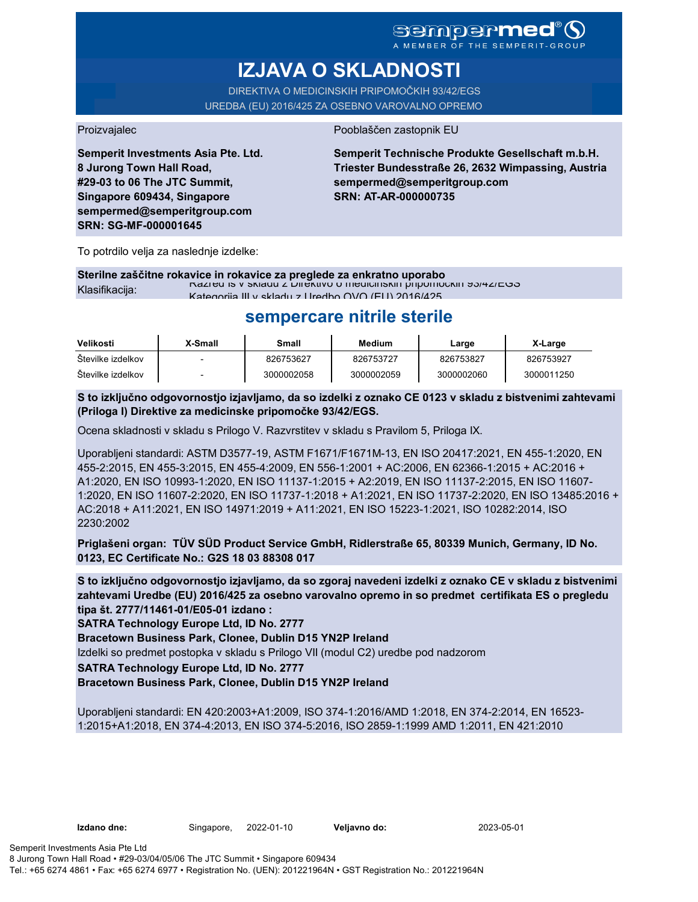# **sempermed**

# **IZJAVA O SKLADNOSTI**

DIREKTIVA O MEDICINSKIH PRIPOMOČKIH 93/42/EGS UREDBA (EU) 2016/425 ZA OSEBNO VAROVALNO OPREMO

**Semperit Investments Asia Pte. Ltd. 8 Jurong Town Hall Road, #29-03 to 06 The JTC Summit, Singapore 609434, Singapore sempermed@semperitgroup.com SRN: SG-MF-000001645**

#### Proizvajalec Pooblaščen zastopnik EU

**Semperit Technische Produkte Gesellschaft m.b.H. Triester Bundesstraße 26, 2632 Wimpassing, Austria sempermed@semperitgroup.com SRN: AT-AR-000000735**

To potrdilo velja za naslednje izdelke:

### **Sterilne zaščitne rokavice in rokavice za preglede za enkratno uporabo**

 $\frac{R}{2}$ Klasifikacija: Razred Is v skladu z Direktivo o medicinskih pripomočkih 93/42/EGS Kategorija III v skladu z Uredbo OVO (EU) 2016/425

## **sempercare nitrile sterile**

| Velikosti         | X-Small | Small      | Medium     | Large      | X-Large    |
|-------------------|---------|------------|------------|------------|------------|
| Številke izdelkov |         | 826753627  | 826753727  | 826753827  | 826753927  |
| Številke izdelkov |         | 3000002058 | 3000002059 | 3000002060 | 3000011250 |

**S to izključno odgovornostjo izjavljamo, da so izdelki z oznako CE 0123 v skladu z bistvenimi zahtevami (Priloga I) Direktive za medicinske pripomočke 93/42/EGS.**

Ocena skladnosti v skladu s Prilogo V. Razvrstitev v skladu s Pravilom 5, Priloga IX.

Uporabljeni standardi: ASTM D3577-19, ASTM F1671/F1671M-13, EN ISO 20417:2021, EN 455-1:2020, EN 455-2:2015, EN 455-3:2015, EN 455-4:2009, EN 556-1:2001 + AC:2006, EN 62366-1:2015 + AC:2016 + A1:2020, EN ISO 10993-1:2020, EN ISO 11137-1:2015 + A2:2019, EN ISO 11137-2:2015, EN ISO 11607- 1:2020, EN ISO 11607-2:2020, EN ISO 11737-1:2018 + A1:2021, EN ISO 11737-2:2020, EN ISO 13485:2016 + AC:2018 + A11:2021, EN ISO 14971:2019 + A11:2021, EN ISO 15223-1:2021, ISO 10282:2014, ISO 2230:2002

**Priglašeni organ: TÜV SÜD Product Service GmbH, Ridlerstraße 65, 80339 Munich, Germany, ID No. 0123, EC Certificate No.: G2S 18 03 88308 017**

**S to izključno odgovornostjo izjavljamo, da so zgoraj navedeni izdelki z oznako CE v skladu z bistvenimi zahtevami Uredbe (EU) 2016/425 za osebno varovalno opremo in so predmet certifikata ES o pregledu tipa št. 2777/11461-01/E05-01 izdano :**

**SATRA Technology Europe Ltd, ID No. 2777**

**Bracetown Business Park, Clonee, Dublin D15 YN2P Ireland**

Izdelki so predmet postopka v skladu s Prilogo VII (modul C2) uredbe pod nadzorom

**SATRA Technology Europe Ltd, ID No. 2777**

**Bracetown Business Park, Clonee, Dublin D15 YN2P Ireland**

Uporabljeni standardi: EN 420:2003+A1:2009, ISO 374-1:2016/AMD 1:2018, EN 374-2:2014, EN 16523- 1:2015+A1:2018, EN 374-4:2013, EN ISO 374-5:2016, ISO 2859-1:1999 AMD 1:2011, EN 421:2010

**Izdano dne:** Singapore, **Veljavno do:** 2022-01-10 2023-05-01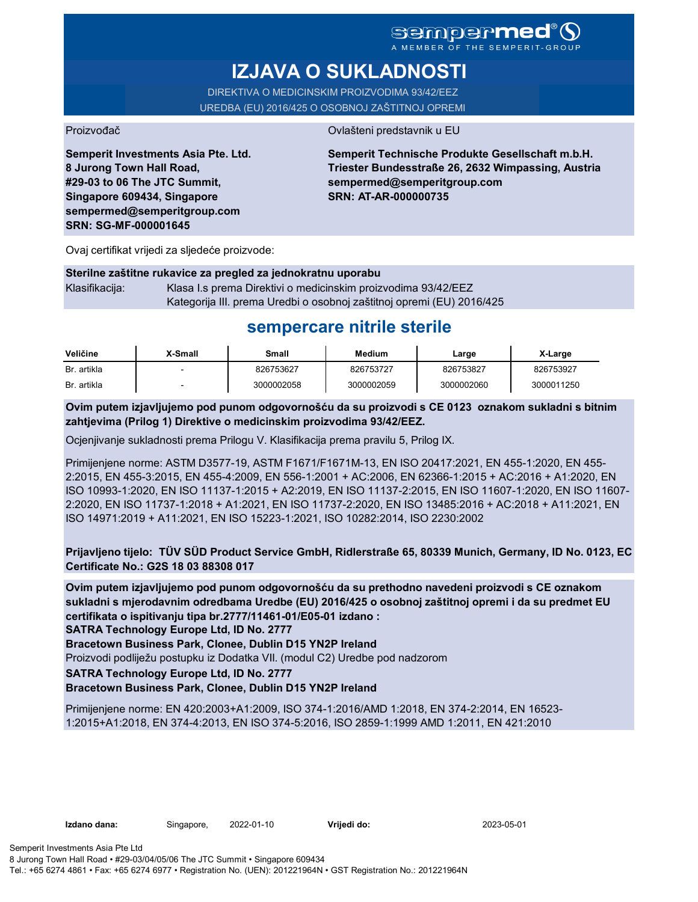## **Sempermed** A MEMBER OF THE SEMPERIT-GROUP

**IZJAVA O SUKLADNOSTI**

DIREKTIVA O MEDICINSKIM PROIZVODIMA 93/42/EEZ UREDBA (EU) 2016/425 O OSOBNOJ ZAŠTITNOJ OPREMI

Proizvođač **Ovlašteni predstavnik u EU** 

**Semperit Investments Asia Pte. Ltd. 8 Jurong Town Hall Road, #29-03 to 06 The JTC Summit, Singapore 609434, Singapore sempermed@semperitgroup.com SRN: SG-MF-000001645**

**Semperit Technische Produkte Gesellschaft m.b.H. Triester Bundesstraße 26, 2632 Wimpassing, Austria sempermed@semperitgroup.com SRN: AT-AR-000000735**

Ovaj certifikat vrijedi za sljedeće proizvode:

#### **Sterilne zaštitne rukavice za pregled za jednokratnu uporabu**

Klasifikacija: Klasa I.s prema Direktivi o medicinskim proizvodima 93/42/EEZ Kategorija III. prema Uredbi o osobnoj zaštitnoj opremi (EU) 2016/425

# **sempercare nitrile sterile**

| Veličine    | X-Small | Small      | <b>Medium</b> | Large      | X-Large    |
|-------------|---------|------------|---------------|------------|------------|
| Br. artikla |         | 826753627  | 826753727     | 826753827  | 826753927  |
| Br. artikla |         | 3000002058 | 3000002059    | 3000002060 | 3000011250 |

**Ovim putem izjavljujemo pod punom odgovornošću da su proizvodi s CE 0123 oznakom sukladni s bitnim zahtjevima (Prilog 1) Direktive o medicinskim proizvodima 93/42/EEZ.**

Ocjenjivanje sukladnosti prema Prilogu V. Klasifikacija prema pravilu 5, Prilog IX.

Primijenjene norme: ASTM D3577-19, ASTM F1671/F1671M-13, EN ISO 20417:2021, EN 455-1:2020, EN 455- 2:2015, EN 455-3:2015, EN 455-4:2009, EN 556-1:2001 + AC:2006, EN 62366-1:2015 + AC:2016 + A1:2020, EN ISO 10993-1:2020, EN ISO 11137-1:2015 + A2:2019, EN ISO 11137-2:2015, EN ISO 11607-1:2020, EN ISO 11607- 2:2020, EN ISO 11737-1:2018 + A1:2021, EN ISO 11737-2:2020, EN ISO 13485:2016 + AC:2018 + A11:2021, EN ISO 14971:2019 + A11:2021, EN ISO 15223-1:2021, ISO 10282:2014, ISO 2230:2002

**Prijavljeno tijelo: TÜV SÜD Product Service GmbH, Ridlerstraße 65, 80339 Munich, Germany, ID No. 0123, EC Certificate No.: G2S 18 03 88308 017**

**Ovim putem izjavljujemo pod punom odgovornošću da su prethodno navedeni proizvodi s CE oznakom sukladni s mjerodavnim odredbama Uredbe (EU) 2016/425 o osobnoj zaštitnoj opremi i da su predmet EU certifikata o ispitivanju tipa br.2777/11461-01/E05-01 izdano :**

**SATRA Technology Europe Ltd, ID No. 2777**

**Bracetown Business Park, Clonee, Dublin D15 YN2P Ireland**

Proizvodi podliježu postupku iz Dodatka VII. (modul C2) Uredbe pod nadzorom

**SATRA Technology Europe Ltd, ID No. 2777**

**Bracetown Business Park, Clonee, Dublin D15 YN2P Ireland**

Primijenjene norme: EN 420:2003+A1:2009, ISO 374-1:2016/AMD 1:2018, EN 374-2:2014, EN 16523- 1:2015+A1:2018, EN 374-4:2013, EN ISO 374-5:2016, ISO 2859-1:1999 AMD 1:2011, EN 421:2010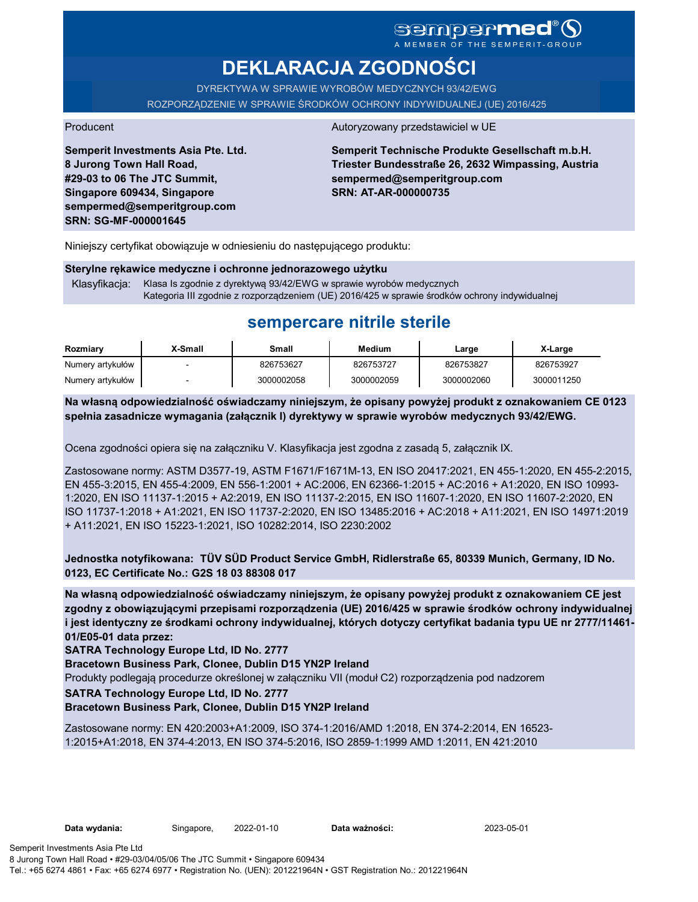# **DEKLARACJA ZGODNOŚCI**

DYREKTYWA W SPRAWIE WYROBÓW MEDYCZNYCH 93/42/EWG ROZPORZĄDZENIE W SPRAWIE ŚRODKÓW OCHRONY INDYWIDUALNEJ (UE) 2016/425

**Semperit Investments Asia Pte. Ltd. 8 Jurong Town Hall Road, #29-03 to 06 The JTC Summit, Singapore 609434, Singapore sempermed@semperitgroup.com SRN: SG-MF-000001645**

#### Producent Autoryzowany przedstawiciel w UE

**Semperit Technische Produkte Gesellschaft m.b.H. Triester Bundesstraße 26, 2632 Wimpassing, Austria sempermed@semperitgroup.com SRN: AT-AR-000000735**

Niniejszy certyfikat obowiązuje w odniesieniu do następującego produktu:

#### **Sterylne rękawice medyczne i ochronne jednorazowego użytku**

Klasyfikacja: Klasa Is zgodnie z dyrektywą 93/42/EWG w sprawie wyrobów medycznych Kategoria III zgodnie z rozporządzeniem (UE) 2016/425 w sprawie środków ochrony indywidualnej

# **sempercare nitrile sterile**

| Rozmiary         | X-Small | Small      | <b>Medium</b> | Large      | X-Large    |
|------------------|---------|------------|---------------|------------|------------|
| Numery artykułów |         | 826753627  | 826753727     | 826753827  | 826753927  |
| Numery artykułów |         | 3000002058 | 3000002059    | 3000002060 | 3000011250 |

**Na własną odpowiedzialność oświadczamy niniejszym, że opisany powyżej produkt z oznakowaniem CE 0123 spełnia zasadnicze wymagania (załącznik I) dyrektywy w sprawie wyrobów medycznych 93/42/EWG.**

Ocena zgodności opiera się na załączniku V. Klasyfikacja jest zgodna z zasadą 5, załącznik IX.

Zastosowane normy: ASTM D3577-19, ASTM F1671/F1671M-13, EN ISO 20417:2021, EN 455-1:2020, EN 455-2:2015, EN 455-3:2015, EN 455-4:2009, EN 556-1:2001 + AC:2006, EN 62366-1:2015 + AC:2016 + A1:2020, EN ISO 10993- 1:2020, EN ISO 11137-1:2015 + A2:2019, EN ISO 11137-2:2015, EN ISO 11607-1:2020, EN ISO 11607-2:2020, EN ISO 11737-1:2018 + A1:2021, EN ISO 11737-2:2020, EN ISO 13485:2016 + AC:2018 + A11:2021, EN ISO 14971:2019 + A11:2021, EN ISO 15223-1:2021, ISO 10282:2014, ISO 2230:2002

**Jednostka notyfikowana: TÜV SÜD Product Service GmbH, Ridlerstraße 65, 80339 Munich, Germany, ID No. 0123, EC Certificate No.: G2S 18 03 88308 017**

**Na własną odpowiedzialność oświadczamy niniejszym, że opisany powyżej produkt z oznakowaniem CE jest zgodny z obowiązującymi przepisami rozporządzenia (UE) 2016/425 w sprawie środków ochrony indywidualnej i jest identyczny ze środkami ochrony indywidualnej, których dotyczy certyfikat badania typu UE nr 2777/11461- 01/E05-01 data przez:**

**SATRA Technology Europe Ltd, ID No. 2777**

**Bracetown Business Park, Clonee, Dublin D15 YN2P Ireland**

Produkty podlegają procedurze określonej w załączniku VII (moduł C2) rozporządzenia pod nadzorem

**SATRA Technology Europe Ltd, ID No. 2777**

### **Bracetown Business Park, Clonee, Dublin D15 YN2P Ireland**

Zastosowane normy: EN 420:2003+A1:2009, ISO 374-1:2016/AMD 1:2018, EN 374-2:2014, EN 16523- 1:2015+A1:2018, EN 374-4:2013, EN ISO 374-5:2016, ISO 2859-1:1999 AMD 1:2011, EN 421:2010

Data ważności: 2023-05-01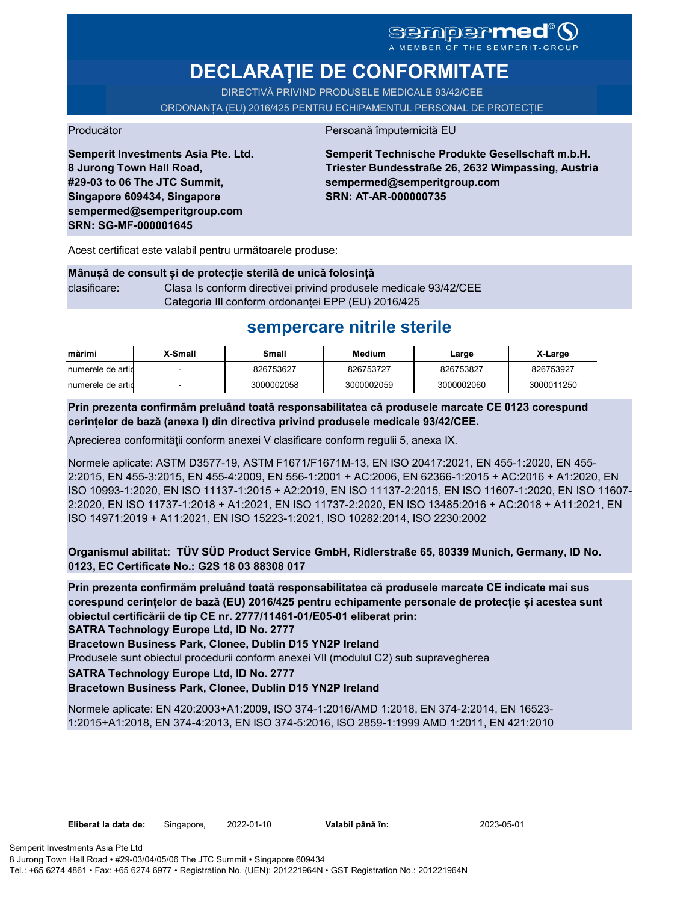A MEMBER OF THE SEMPERIT-GROUP

# **DECLARAȚIE DE CONFORMITATE**

DIRECTIVĂ PRIVIND PRODUSELE MEDICALE 93/42/CEE ORDONANȚA (EU) 2016/425 PENTRU ECHIPAMENTUL PERSONAL DE PROTECȚIE

Producător Persoană împuternicită EU

**Semperit Investments Asia Pte. Ltd. 8 Jurong Town Hall Road, #29-03 to 06 The JTC Summit, Singapore 609434, Singapore sempermed@semperitgroup.com SRN: SG-MF-000001645**

**Semperit Technische Produkte Gesellschaft m.b.H. Triester Bundesstraße 26, 2632 Wimpassing, Austria sempermed@semperitgroup.com SRN: AT-AR-000000735**

Acest certificat este valabil pentru următoarele produse:

| Mânușă de consult și de protecție sterilă de unică folosință |                                                                  |  |  |  |  |
|--------------------------------------------------------------|------------------------------------------------------------------|--|--|--|--|
| clasificare:                                                 | Clasa Is conform directivei privind produsele medicale 93/42/CEE |  |  |  |  |
|                                                              | Categoria III conform ordonantei EPP (EU) 2016/425               |  |  |  |  |

# **sempercare nitrile sterile**

| mărimi            | X-Small | Small      | <b>Medium</b> | Large      | X-Large    |
|-------------------|---------|------------|---------------|------------|------------|
| numerele de artic | -       | 826753627  | 826753727     | 826753827  | 826753927  |
| numerele de artic |         | 3000002058 | 3000002059    | 3000002060 | 3000011250 |

**Prin prezenta confirmăm preluând toată responsabilitatea că produsele marcate CE 0123 corespund cerințelor de bază (anexa I) din directiva privind produsele medicale 93/42/CEE.**

Aprecierea conformității conform anexei V clasificare conform regulii 5, anexa IX.

Normele aplicate: ASTM D3577-19, ASTM F1671/F1671M-13, EN ISO 20417:2021, EN 455-1:2020, EN 455- 2:2015, EN 455-3:2015, EN 455-4:2009, EN 556-1:2001 + AC:2006, EN 62366-1:2015 + AC:2016 + A1:2020, EN ISO 10993-1:2020, EN ISO 11137-1:2015 + A2:2019, EN ISO 11137-2:2015, EN ISO 11607-1:2020, EN ISO 11607- 2:2020, EN ISO 11737-1:2018 + A1:2021, EN ISO 11737-2:2020, EN ISO 13485:2016 + AC:2018 + A11:2021, EN ISO 14971:2019 + A11:2021, EN ISO 15223-1:2021, ISO 10282:2014, ISO 2230:2002

**Organismul abilitat: TÜV SÜD Product Service GmbH, Ridlerstraße 65, 80339 Munich, Germany, ID No. 0123, EC Certificate No.: G2S 18 03 88308 017**

**Prin prezenta confirmăm preluând toată responsabilitatea că produsele marcate CE indicate mai sus corespund cerințelor de bază (EU) 2016/425 pentru echipamente personale de protecție și acestea sunt obiectul certificării de tip CE nr. 2777/11461-01/E05-01 eliberat prin:**

**SATRA Technology Europe Ltd, ID No. 2777**

**Bracetown Business Park, Clonee, Dublin D15 YN2P Ireland**

Produsele sunt obiectul procedurii conform anexei VII (modulul C2) sub supravegherea

**SATRA Technology Europe Ltd, ID No. 2777**

### **Bracetown Business Park, Clonee, Dublin D15 YN2P Ireland**

Normele aplicate: EN 420:2003+A1:2009, ISO 374-1:2016/AMD 1:2018, EN 374-2:2014, EN 16523- 1:2015+A1:2018, EN 374-4:2013, EN ISO 374-5:2016, ISO 2859-1:1999 AMD 1:2011, EN 421:2010

Valabil până în: 2023-05-01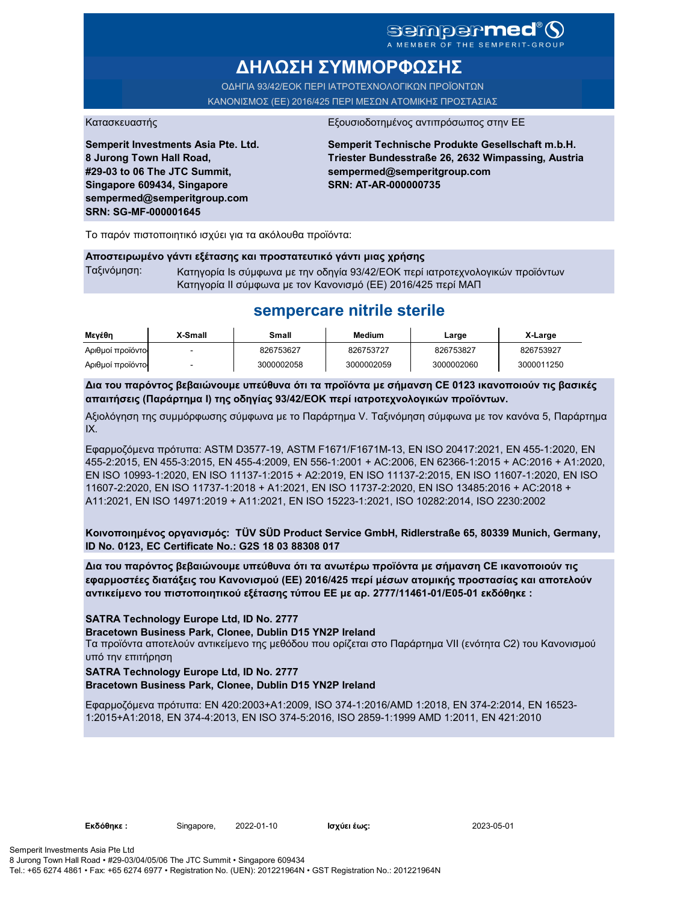# **ΔΗΛΩΣΗ ΣΥΜΜΟΡΦΩΣΗΣ**

ΟΔΗΓΙΑ 93/42/ΕΟΚ ΠΕΡΙ ΙΑΤΡΟΤΕΧΝΟΛΟΓΙΚΩΝ ΠΡΟΪΟΝΤΩΝ ΚΑΝΟΝΙΣΜΟΣ (ΕΕ) 2016/425 ΠΕΡΙ ΜΕΣΩΝ ΑΤΟΜΙΚΗΣ ΠΡΟΣΤΑΣΙΑΣ

**Semperit Investments Asia Pte. Ltd. 8 Jurong Town Hall Road, #29-03 to 06 The JTC Summit, Singapore 609434, Singapore sempermed@semperitgroup.com SRN: SG-MF-000001645**

#### Κατασκευαστής Εξουσιοδοτημένος αντιπρόσωπος στην ΕΕ

**Semperit Technische Produkte Gesellschaft m.b.H. Triester Bundesstraße 26, 2632 Wimpassing, Austria sempermed@semperitgroup.com SRN: AT-AR-000000735**

Το παρόν πιστοποιητικό ισχύει για τα ακόλουθα προϊόντα:

#### **Αποστειρωμένο γάντι εξέτασης και προστατευτικό γάντι μιας χρήσης**

Ταξινόμηση: Κατηγορία Is σύμφωνα με την οδηγία 93/42/ΕΟΚ περί ιατροτεχνολογικών προϊόντων Κατηγορία II σύμφωνα με τον Κανονισμό (ΕΕ) 2016/425 περί ΜΑΠ

## **sempercare nitrile sterile**

| Μενέθη           | X-Small | Small      | <b>Medium</b> | Large      | X-Large    |
|------------------|---------|------------|---------------|------------|------------|
| Αριθμοί προϊόντο |         | 826753627  | 826753727     | 826753827  | 826753927  |
| Αριθμοί προϊόντο |         | 3000002058 | 3000002059    | 3000002060 | 3000011250 |

**Δια του παρόντος βεβαιώνουμε υπεύθυνα ότι τα προϊόντα με σήμανση CE 0123 ικανοποιούν τις βασικές απαιτήσεις (Παράρτημα I) της οδηγίας 93/42/ΕΟΚ περί ιατροτεχνολογικών προϊόντων.**

Αξιολόγηση της συμμόρφωσης σύμφωνα με το Παράρτημα V. Ταξινόμηση σύμφωνα με τον κανόνα 5, Παράρτημα IX.

Εφαρμοζόμενα πρότυπα: ASTM D3577-19, ASTM F1671/F1671M-13, EN ISO 20417:2021, EN 455-1:2020, EN 455-2:2015, EN 455-3:2015, EN 455-4:2009, EN 556-1:2001 + AC:2006, EN 62366-1:2015 + AC:2016 + A1:2020, EN ISO 10993-1:2020, EN ISO 11137-1:2015 + A2:2019, EN ISO 11137-2:2015, EN ISO 11607-1:2020, EN ISO 11607-2:2020, EN ISO 11737-1:2018 + A1:2021, EN ISO 11737-2:2020, EN ISO 13485:2016 + AC:2018 + A11:2021, EN ISO 14971:2019 + A11:2021, EN ISO 15223-1:2021, ISO 10282:2014, ISO 2230:2002

**Κοινοποιημένος οργανισμός: TÜV SÜD Product Service GmbH, Ridlerstraße 65, 80339 Munich, Germany, ID No. 0123, EC Certificate No.: G2S 18 03 88308 017**

**Δια του παρόντος βεβαιώνουμε υπεύθυνα ότι τα ανωτέρω προϊόντα με σήμανση CE ικανοποιούν τις εφαρμοστέες διατάξεις του Κανονισμού (ΕΕ) 2016/425 περί μέσων ατομικής προστασίας και αποτελούν αντικείμενο του πιστοποιητικού εξέτασης τύπου ΕΕ με αρ. 2777/11461-01/E05-01 εκδόθηκε :**

**SATRA Technology Europe Ltd, ID No. 2777**

**Bracetown Business Park, Clonee, Dublin D15 YN2P Ireland**

Τα προϊόντα αποτελούν αντικείμενο της μεθόδου που ορίζεται στο Παράρτημα VII (ενότητα C2) του Κανονισμού υπό την επιτήρηση

## **SATRA Technology Europe Ltd, ID No. 2777**

**Bracetown Business Park, Clonee, Dublin D15 YN2P Ireland**

Εφαρμοζόμενα πρότυπα: EN 420:2003+A1:2009, ISO 374-1:2016/AMD 1:2018, EN 374-2:2014, EN 16523- 1:2015+A1:2018, EN 374-4:2013, EN ISO 374-5:2016, ISO 2859-1:1999 AMD 1:2011, EN 421:2010

**Εκδόθηκε :** Singapore, 2022-01-10

Ισχύει έως: 2023-05-01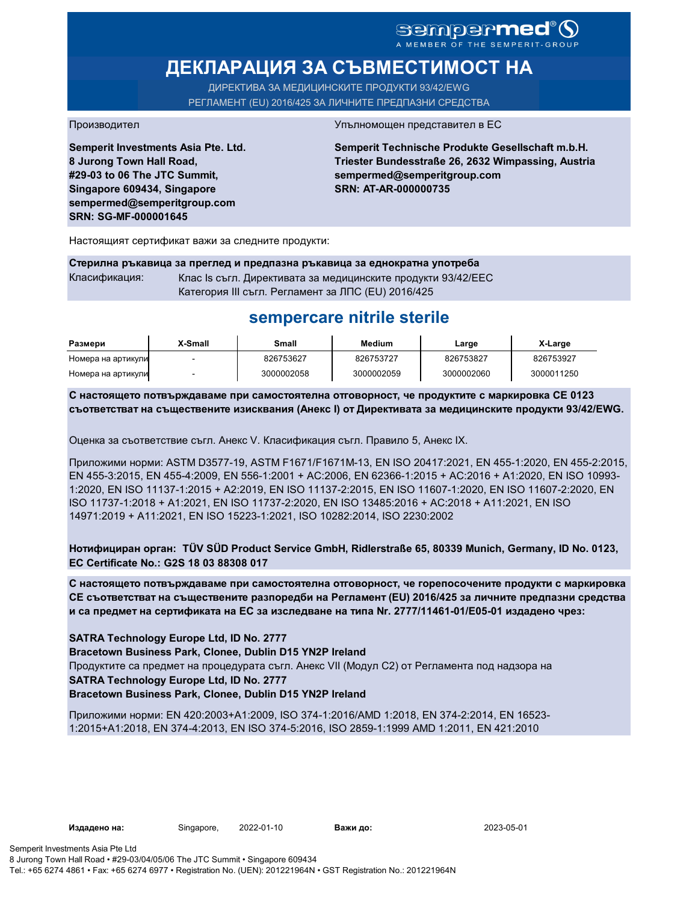# SEMPERMED<sup>®</sup>O

# **ДЕКЛАРАЦИЯ ЗА СЪВМЕСТИМОСТ НА**

ДИРЕКТИВА ЗА МЕДИЦИНСКИТЕ ПРОДУКТИ 93/42/EWG РЕГЛАМЕНТ (EU) 2016/425 ЗА ЛИЧНИТЕ ПРЕДПАЗНИ СРЕДСТВА

**Semperit Investments Asia Pte. Ltd. 8 Jurong Town Hall Road, #29-03 to 06 The JTC Summit, Singapore 609434, Singapore sempermed@semperitgroup.com SRN: SG-MF-000001645**

#### Производител Упълномощен представител в ЕС

**Semperit Technische Produkte Gesellschaft m.b.H. Triester Bundesstraße 26, 2632 Wimpassing, Austria sempermed@semperitgroup.com SRN: AT-AR-000000735**

Настоящият сертификат важи за следните продукти:

**Стерилна ръкавица за преглед и предпазна ръкавица за еднократна употреба** Класификация: Клас Is съгл. Директивата за медицинските продукти 93/42/EEC Категория III съгл. Регламент за ЛПС (EU) 2016/425

## **sempercare nitrile sterile**

| Размери            | X-Small | Small      | Medium     | Large      | X-Large    |
|--------------------|---------|------------|------------|------------|------------|
| Номера на артикули |         | 826753627  | 826753727  | 826753827  | 826753927  |
| Номера на артикули |         | 3000002058 | 3000002059 | 3000002060 | 3000011250 |

**С настоящето потвърждаваме при самостоятелна отговорност, че продуктите с маркировка СЕ 0123 съответстват на съществените изисквания (Анекс I) от Директивата за медицинските продукти 93/42/EWG.**

Оценка за съответствие съгл. Анекс V. Класификация съгл. Правило 5, Анекс IX.

Приложими норми: ASTM D3577-19, ASTM F1671/F1671M-13, EN ISO 20417:2021, EN 455-1:2020, EN 455-2:2015, EN 455-3:2015, EN 455-4:2009, EN 556-1:2001 + AC:2006, EN 62366-1:2015 + AC:2016 + A1:2020, EN ISO 10993- 1:2020, EN ISO 11137-1:2015 + A2:2019, EN ISO 11137-2:2015, EN ISO 11607-1:2020, EN ISO 11607-2:2020, EN ISO 11737-1:2018 + A1:2021, EN ISO 11737-2:2020, EN ISO 13485:2016 + AC:2018 + A11:2021, EN ISO 14971:2019 + A11:2021, EN ISO 15223-1:2021, ISO 10282:2014, ISO 2230:2002

**Нотифициран орган: TÜV SÜD Product Service GmbH, Ridlerstraße 65, 80339 Munich, Germany, ID No. 0123, EC Certificate No.: G2S 18 03 88308 017**

**С настоящето потвърждаваме при самостоятелна отговорност, че горепосочените продукти с маркировка СЕ съответстват на съществените разпоредби на Регламент (EU) 2016/425 за личните предпазни средства и са предмет на сертификата на ЕС за изследване на типа Nr. 2777/11461-01/E05-01 издадено чрез:**

### **SATRA Technology Europe Ltd, ID No. 2777**

**Bracetown Business Park, Clonee, Dublin D15 YN2P Ireland**

Продуктите са предмет на процедурата съгл. Анекс VII (Модул С2) от Регламента под надзора на

### **SATRA Technology Europe Ltd, ID No. 2777**

### **Bracetown Business Park, Clonee, Dublin D15 YN2P Ireland**

Приложими норми: EN 420:2003+A1:2009, ISO 374-1:2016/AMD 1:2018, EN 374-2:2014, EN 16523- 1:2015+A1:2018, EN 374-4:2013, EN ISO 374-5:2016, ISO 2859-1:1999 AMD 1:2011, EN 421:2010

2022-01-10 2023-05-01